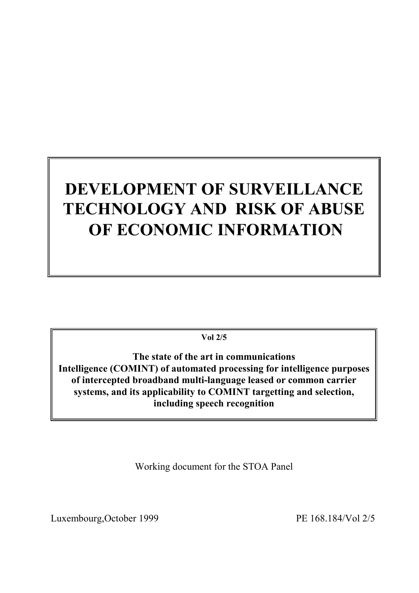# **DEVELOPMENT OF SURVEILLANCE TECHNOLOGY AND RISK OF ABUSE OF ECONOMIC INFORMATION**

**Vol 2/5**

**The state of the art in communications Intelligence (COMINT) of automated processing for intelligence purposes of intercepted broadband multi-language leased or common carrier systems, and its applicability to COMINT targetting and selection, including speech recognition**

Working document for the STOA Panel

Luxembourg, October 1999 PE 168.184/Vol 2/5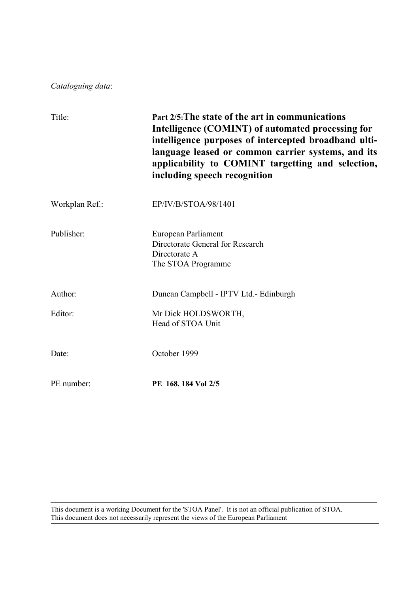*Cataloguing data*:

| Title:         | Part 2/5: The state of the art in communications<br>Intelligence (COMINT) of automated processing for<br>intelligence purposes of intercepted broadband ulti-<br>language leased or common carrier systems, and its<br>applicability to COMINT targetting and selection,<br>including speech recognition |
|----------------|----------------------------------------------------------------------------------------------------------------------------------------------------------------------------------------------------------------------------------------------------------------------------------------------------------|
| Workplan Ref.: | EP/IV/B/STOA/98/1401                                                                                                                                                                                                                                                                                     |
| Publisher:     | European Parliament<br>Directorate General for Research<br>Directorate A<br>The STOA Programme                                                                                                                                                                                                           |
| Author:        | Duncan Campbell - IPTV Ltd. - Edinburgh                                                                                                                                                                                                                                                                  |
| Editor:        | Mr Dick HOLDSWORTH,<br>Head of STOA Unit                                                                                                                                                                                                                                                                 |
| Date:          | October 1999                                                                                                                                                                                                                                                                                             |
| PE number:     | PE 168, 184 Vol 2/5                                                                                                                                                                                                                                                                                      |

This document is a working Document for the 'STOA Panel'. It is not an official publication of STOA. This document does not necessarily represent the views of the European Parliament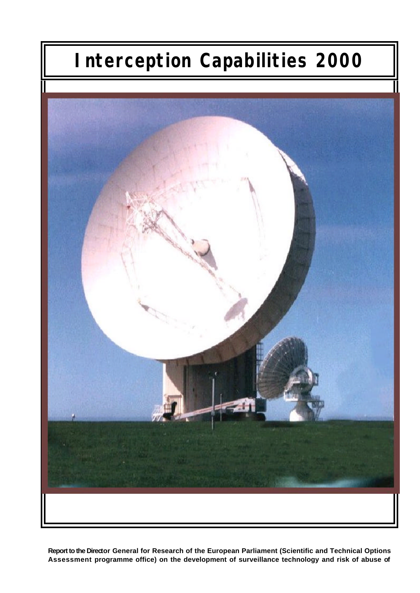# **Interception Capabilities 2000**



**Report to the Director General for Research of the European Parliament (Scientific and Technical Options Assessment programme office) on the development of surveillance technology and risk of abuse of**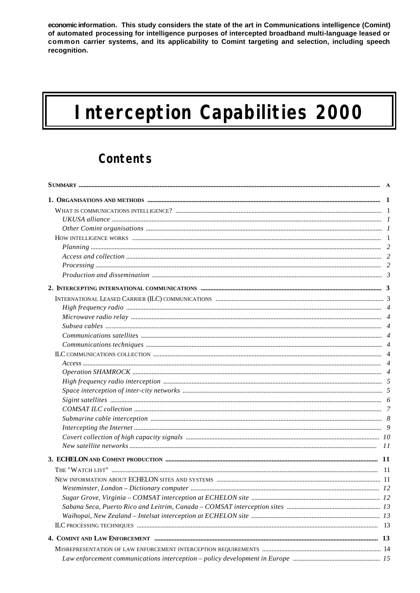economic information. This study considers the state of the art in Communications intelligence (Comint) of automated processing for intelligence purposes of intercepted broadband multi-language leased or common carrier systems, and its applicability to Comint targeting and selection, including speech recognition.

# **Interception Capabilities 2000**

### **Contents**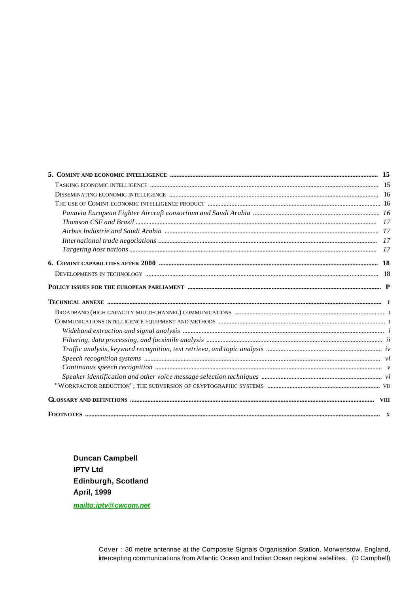| <b>FOOTNOTES</b> | X |
|------------------|---|

**Duncan Campbell IPTV Ltd** Edinburgh, Scotland **April, 1999** mailto:iptv@cwcom.net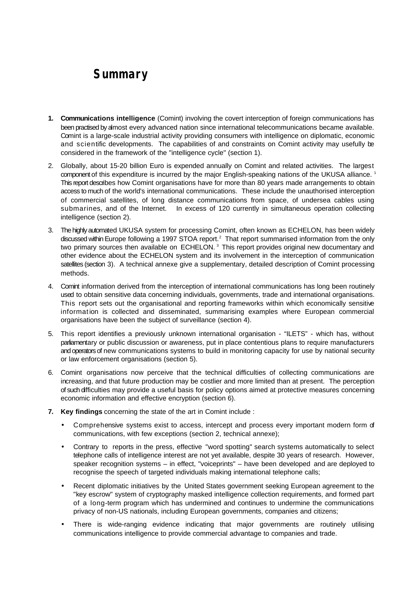### **Summary**

- **1. Communications intelligence** (Comint) involving the covert interception of foreign communications has been practised by almost every advanced nation since international telecommunications became available. Comint is a large-scale industrial activity providing consumers with intelligence on diplomatic, economic and scientific developments. The capabilities of and constraints on Comint activity may usefully be considered in the framework of the "intelligence cycle" (section 1).
- 2. Globally, about 15-20 billion Euro is expended annually on Comint and related activities. The largest component of this expenditure is incurred by the major English-speaking nations of the UKUSA alliance.<sup>1</sup> This report describes how Comint organisations have for more than 80 years made arrangements to obtain access to much of the world's international communications. These include the unauthorised interception of commercial satellites, of long distance communications from space, of undersea cables using submarines, and of the Internet. In excess of 120 currently in simultaneous operation collecting intelligence (section 2).
- 3. The highly automated UKUSA system for processing Comint, often known as ECHELON, has been widely discussed within Europe following a 1997 STOA report.<sup>2</sup> That report summarised information from the only two primary sources then available on  $ECHELON$ .<sup>3</sup> This report provides original new documentary and other evidence about the ECHELON system and its involvement in the interception of communication satellites (section 3). A technical annexe give a supplementary, detailed description of Comint processing methods.
- 4. Comint information derived from the interception of international communications has long been routinely used to obtain sensitive data concerning individuals, governments, trade and international organisations. This report sets out the organisational and reporting frameworks within which economically sensitive information is collected and disseminated, summarising examples where European commercial organisations have been the subject of surveillance (section 4).
- 5. This report identifies a previously unknown international organisation "ILETS" which has, without parliamentary or public discussion or awareness, put in place contentious plans to require manufacturers and operators of new communications systems to build in monitoring capacity for use by national security or law enforcement organisations (section 5).
- 6. Comint organisations now perceive that the technical difficulties of collecting communications are increasing, and that future production may be costlier and more limited than at present. The perception of such difficulties may provide a useful basis for policy options aimed at protective measures concerning economic information and effective encryption (section 6).
- **7. Key findings** concerning the state of the art in Comint include :
	- Comprehensive systems exist to access, intercept and process every important modern form of communications, with few exceptions (section 2, technical annexe);
	- Contrary to reports in the press, effective "word spotting" search systems automatically to select telephone calls of intelligence interest are not yet available, despite 30 years of research. However, speaker recognition systems – in effect, "voiceprints" – have been developed and are deployed to recognise the speech of targeted individuals making international telephone calls;
	- Recent diplomatic initiatives by the United States government seeking European agreement to the "key escrow" system of cryptography masked intelligence collection requirements, and formed part of a long-term program which has undermined and continues to undermine the communications privacy of non-US nationals, including European governments, companies and citizens;
	- There is wide-ranging evidence indicating that major governments are routinely utilising communications intelligence to provide commercial advantage to companies and trade.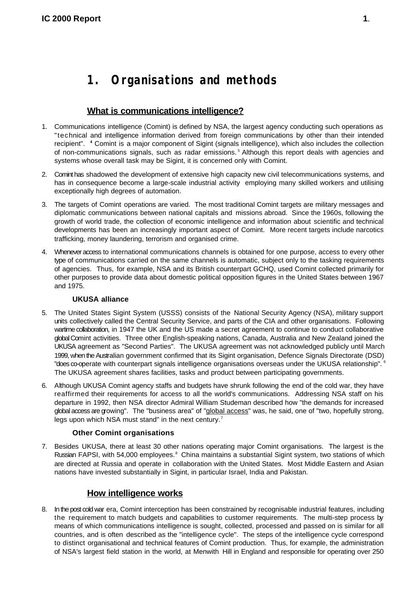### **1. Organisations and methods**

#### **What is communications intelligence?**

- 1. Communications intelligence (Comint) is defined by NSA, the largest agency conducting such operations as "technical and intelligence information derived from foreign communications by other than their intended recipient". <sup>4</sup> Comint is a major component of Sigint (signals intelligence), which also includes the collection of non-communications signals, such as radar emissions.<sup>5</sup> Although this report deals with agencies and systems whose overall task may be Sigint, it is concerned only with Comint.
- 2. Comint has shadowed the development of extensive high capacity new civil telecommunications systems, and has in consequence become a large-scale industrial activity employing many skilled workers and utilising exceptionally high degrees of automation.
- 3. The targets of Comint operations are varied. The most traditional Comint targets are military messages and diplomatic communications between national capitals and missions abroad. Since the 1960s, following the growth of world trade, the collection of economic intelligence and information about scientific and technical developments has been an increasingly important aspect of Comint. More recent targets include narcotics trafficking, money laundering, terrorism and organised crime.
- 4. Whenever access to international communications channels is obtained for one purpose, access to every other type of communications carried on the same channels is automatic, subject only to the tasking requirements of agencies. Thus, for example, NSA and its British counterpart GCHQ, used Comint collected primarily for other purposes to provide data about domestic political opposition figures in the United States between 1967 and 1975.

#### **UKUSA alliance**

- 5. The United States Sigint System (USSS) consists of the National Security Agency (NSA), military support units collectively called the Central Security Service, and parts of the CIA and other organisations. Following wartime collaboration, in 1947 the UK and the US made a secret agreement to continue to conduct collaborative global Comint activities. Three other English-speaking nations, Canada, Australia and New Zealand joined the UKUSA agreement as "Second Parties". The UKUSA agreement was not acknowledged publicly until March 1999, when the Australian government confirmed that its Sigint organisation, Defence Signals Directorate (DSD) "does co-operate with counterpart signals intelligence organisations overseas under the UKUSA relationship". <sup>6</sup> The UKUSA agreement shares facilities, tasks and product between participating governments.
- 6. Although UKUSA Comint agency staffs and budgets have shrunk following the end of the cold war, they have reaffirmed their requirements for access to all the world's communications. Addressing NSA staff on his departure in 1992, then NSA director Admiral William Studeman described how "the demands for increased global access are growing". The "business area" of "global access" was, he said, one of "two, hopefully strong, legs upon which NSA must stand" in the next century.<sup>7</sup>

#### **Other Comint organisations**

7. Besides UKUSA, there at least 30 other nations operating major Comint organisations. The largest is the Russian FAPSI, with 54,000 employees.<sup>8</sup> China maintains a substantial Sigint system, two stations of which are directed at Russia and operate in collaboration with the United States. Most Middle Eastern and Asian nations have invested substantially in Sigint, in particular Israel, India and Pakistan.

#### **How intelligence works**

8. In the post cold war era, Comint interception has been constrained by recognisable industrial features, including the requirement to match budgets and capabilities to customer requirements. The multi-step process by means of which communications intelligence is sought, collected, processed and passed on is similar for all countries, and is often described as the "intelligence cycle". The steps of the intelligence cycle correspond to distinct organisational and technical features of Comint production. Thus, for example, the administration of NSA's largest field station in the world, at Menwith Hill in England and responsible for operating over 250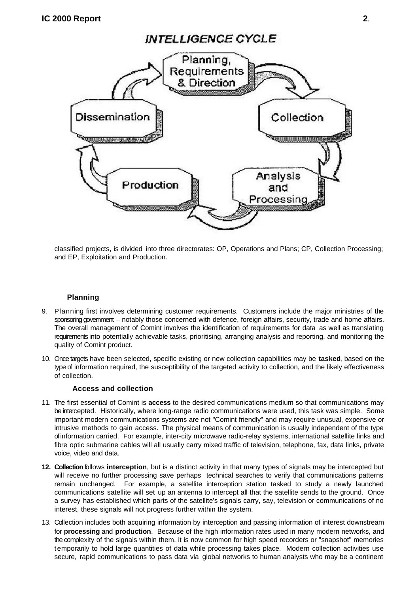

classified projects, is divided into three directorates: OP, Operations and Plans; CP, Collection Processing; and EP, Exploitation and Production.

#### **Planning**

- 9. Planning first involves determining customer requirements. Customers include the major ministries of the sponsoring government – notably those concerned with defence, foreign affairs, security, trade and home affairs. The overall management of Comint involves the identification of requirements for data as well as translating requirements into potentially achievable tasks, prioritising, arranging analysis and reporting, and monitoring the quality of Comint product.
- 10. Once targets have been selected, specific existing or new collection capabilities may be **tasked**, based on the type of information required, the susceptibility of the targeted activity to collection, and the likely effectiveness of collection.

#### **Access and collection**

- 11. The first essential of Comint is **access** to the desired communications medium so that communications may be intercepted. Historically, where long-range radio communications were used, this task was simple. Some important modern communications systems are not "Comint friendly" and may require unusual, expensive or intrusive methods to gain access. The physical means of communication is usually independent of the type of information carried. For example, inter-city microwave radio-relay systems, international satellite links and fibre optic submarine cables will all usually carry mixed traffic of television, telephone, fax, data links, private voice, video and data.
- **12. Collection** follows **interception**, but is a distinct activity in that many types of signals may be intercepted but will receive no further processing save perhaps technical searches to verify that communications patterns remain unchanged. For example, a satellite interception station tasked to study a newly launched communications satellite will set up an antenna to intercept all that the satellite sends to the ground. Once a survey has established which parts of the satellite's signals carry, say, television or communications of no interest, these signals will not progress further within the system.
- 13. Collection includes both acquiring information by interception and passing information of interest downstream for **processing** and **production**. Because of the high information rates used in many modern networks, and the complexity of the signals within them, it is now common for high speed recorders or "snapshot" memories temporarily to hold large quantities of data while processing takes place. Modern collection activities use secure, rapid communications to pass data via global networks to human analysts who may be a continent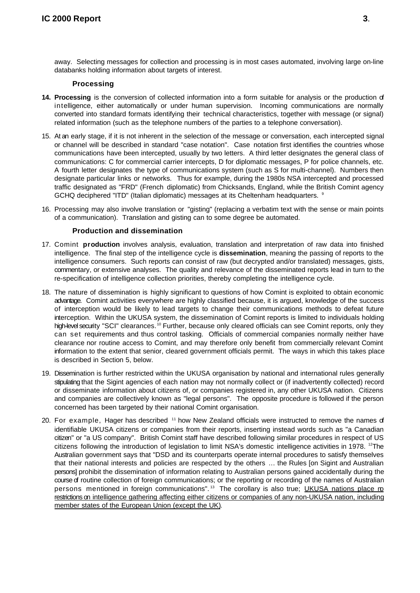away. Selecting messages for collection and processing is in most cases automated, involving large on-line databanks holding information about targets of interest.

#### **Processing**

- **14. Processing** is the conversion of collected information into a form suitable for analysis or the production of intelligence, either automatically or under human supervision. Incoming communications are normally converted into standard formats identifying their technical characteristics, together with message (or signal) related information (such as the telephone numbers of the parties to a telephone conversation).
- 15. At an early stage, if it is not inherent in the selection of the message or conversation, each intercepted signal or channel will be described in standard "case notation". Case notation first identifies the countries whose communications have been intercepted, usually by two letters. A third letter designates the general class of communications: C for commercial carrier intercepts, D for diplomatic messages, P for police channels, etc. A fourth letter designates the type of communications system (such as S for multi-channel). Numbers then designate particular links or networks. Thus for example, during the 1980s NSA intercepted and processed traffic designated as "FRD" (French diplomatic) from Chicksands, England, while the British Comint agency GCHQ deciphered "ITD" (Italian diplomatic) messages at its Cheltenham headquarters. 9
- 16. Processing may also involve translation or "gisting" (replacing a verbatim text with the sense or main points of a communication). Translation and gisting can to some degree be automated.

#### **Production and dissemination**

- 17. Comint **production** involves analysis, evaluation, translation and interpretation of raw data into finished intelligence. The final step of the intelligence cycle is **dissemination**, meaning the passing of reports to the intelligence consumers. Such reports can consist of raw (but decrypted and/or translated) messages, gists, commentary, or extensive analyses. The quality and relevance of the disseminated reports lead in turn to the re-specification of intelligence collection priorities, thereby completing the intelligence cycle.
- 18. The nature of dissemination is highly significant to questions of how Comint is exploited to obtain economic advantage. Comint activities everywhere are highly classified because, it is argued, knowledge of the success of interception would be likely to lead targets to change their communications methods to defeat future interception. Within the UKUSA system, the dissemination of Comint reports is limited to individuals holding high-level security "SCI" clearances.<sup>10</sup> Further, because only cleared officials can see Comint reports, only they can set requirements and thus control tasking. Officials of commercial companies normally neither have clearance nor routine access to Comint, and may therefore only benefit from commercially relevant Comint information to the extent that senior, cleared government officials permit. The ways in which this takes place is described in Section 5, below.
- 19. Dissemination is further restricted within the UKUSA organisation by national and international rules generally stipulating that the Sigint agencies of each nation may not normally collect or (if inadvertently collected) record or disseminate information about citizens of, or companies registered in, any other UKUSA nation. Citizens and companies are collectively known as "legal persons". The opposite procedure is followed if the person concerned has been targeted by their national Comint organisation.
- 20. For example, Hager has described  $11$  how New Zealand officials were instructed to remove the names of identifiable UKUSA citizens or companies from their reports, inserting instead words such as "a Canadian citizen" or "a US company". British Comint staff have described following similar procedures in respect of US citizens following the introduction of legislation to limit NSA's domestic intelligence activities in 1978.  $12$ The Australian government says that "DSD and its counterparts operate internal procedures to satisfy themselves that their national interests and policies are respected by the others … the Rules [on Sigint and Australian persons] prohibit the dissemination of information relating to Australian persons gained accidentally during the course of routine collection of foreign communications; or the reporting or recording of the names of Australian persons mentioned in foreign communications".<sup>13</sup> The corollary is also true; <u>UKUSA nations place ro</u> restrictions on intelligence gathering affecting either citizens or companies of any non-UKUSA nation, including member states of the European Union (except the UK).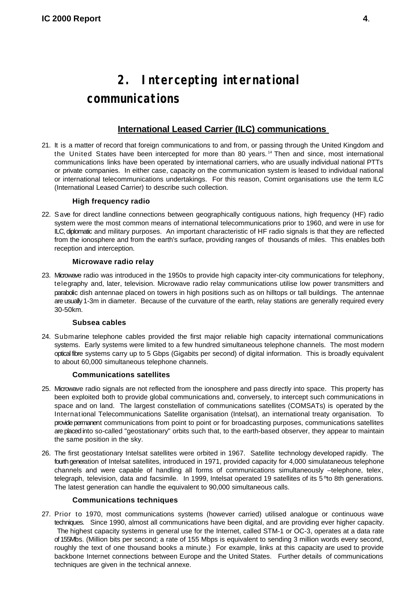### **2. Intercepting international communications**

#### **International Leased Carrier (ILC) communications**

21. It is a matter of record that foreign communications to and from, or passing through the United Kingdom and the United States have been intercepted for more than 80 years.<sup>14</sup> Then and since, most international communications links have been operated by international carriers, who are usually individual national PTTs or private companies. In either case, capacity on the communication system is leased to individual national or international telecommunications undertakings. For this reason, Comint organisations use the term ILC (International Leased Carrier) to describe such collection.

#### **High frequency radio**

22. Save for direct landline connections between geographically contiguous nations, high frequency (HF) radio system were the most common means of international telecommunications prior to 1960, and were in use for ILC, diplomatic and military purposes. An important characteristic of HF radio signals is that they are reflected from the ionosphere and from the earth's surface, providing ranges of thousands of miles. This enables both reception and interception.

#### **Microwave radio relay**

23. Microwave radio was introduced in the 1950s to provide high capacity inter-city communications for telephony, telegraphy and, later, television. Microwave radio relay communications utilise low power transmitters and parabolic dish antennae placed on towers in high positions such as on hilltops or tall buildings. The antennae are usually 1-3m in diameter. Because of the curvature of the earth, relay stations are generally required every 30-50km.

#### **Subsea cables**

24. Submarine telephone cables provided the first major reliable high capacity international communications systems. Early systems were limited to a few hundred simultaneous telephone channels. The most modern optical fibre systems carry up to 5 Gbps (Gigabits per second) of digital information. This is broadly equivalent to about 60,000 simultaneous telephone channels.

#### **Communications satellites**

- 25. Microwave radio signals are not reflected from the ionosphere and pass directly into space. This property has been exploited both to provide global communications and, conversely, to intercept such communications in space and on land. The largest constellation of communications satellites (COMSATs) is operated by the International Telecommunications Satellite organisation (Intelsat), an international treaty organisation. To provide permanent communications from point to point or for broadcasting purposes, communications satellites are placed into so-called "geostationary" orbits such that, to the earth-based observer, they appear to maintain the same position in the sky.
- 26. The first geostationary Intelsat satellites were orbited in 1967. Satellite technology developed rapidly. The fourth generation of Intelsat satellites, introduced in 1971, provided capacity for 4,000 simulataneous telephone channels and were capable of handling all forms of communications simultaneously –telephone, telex, telegraph, television, data and facsimile. In 1999, Intelsat operated 19 satellites of its 5<sup>th</sup>to 8th generations. The latest generation can handle the equivalent to 90,000 simultaneous calls.

#### **Communications techniques**

27. Prior to 1970, most communications systems (however carried) utilised analogue or continuous wave techniques. Since 1990, almost all communications have been digital, and are providing ever higher capacity. The highest capacity systems in general use for the Internet, called STM-1 or OC-3, operates at a data rate of 155Mbs. (Million bits per second; a rate of 155 Mbps is equivalent to sending 3 million words every second, roughly the text of one thousand books a minute.) For example, links at this capacity are used to provide backbone Internet connections between Europe and the United States. Further details of communications techniques are given in the technical annexe.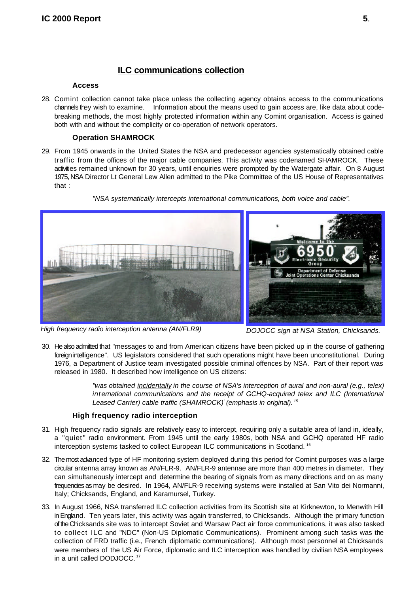#### **ILC communications collection**

#### **Access**

28. Comint collection cannot take place unless the collecting agency obtains access to the communications channels they wish to examine. Information about the means used to gain access are, like data about codebreaking methods, the most highly protected information within any Comint organisation. Access is gained both with and without the complicity or co-operation of network operators.

#### **Operation SHAMROCK**

29. From 1945 onwards in the United States the NSA and predecessor agencies systematically obtained cable traffic from the offices of the major cable companies. This activity was codenamed SHAMROCK. These activities remained unknown for 30 years, until enquiries were prompted by the Watergate affair. On 8 August 1975, NSA Director Lt General Lew Allen admitted to the Pike Committee of the US House of Representatives that :

*"NSA systematically intercepts international communications, both voice and cable".*



*High frequency radio interception antenna (AN/FLR9) DOJOCC sign at NSA Station, Chicksands.* 

30. He also admitted that "messages to and from American citizens have been picked up in the course of gathering foreign intelligence". US legislators considered that such operations might have been unconstitutional. During 1976, a Department of Justice team investigated possible criminal offences by NSA. Part of their report was released in 1980. It described how intelligence on US citizens:

> *"was obtained incidentally in the course of NSA's interception of aural and non-aural (e.g., telex) international communications and the receipt of GCHQ-acquired telex and ILC (International Leased Carrier) cable traffic (SHAMROCK) (emphasis in original). " <sup>15</sup>*

#### **High frequency radio interception**

- 31. High frequency radio signals are relatively easy to intercept, requiring only a suitable area of land in, ideally, a "quiet" radio environment. From 1945 until the early 1980s, both NSA and GCHQ operated HF radio interception systems tasked to collect European ILC communications in Scotland. <sup>16</sup>
- 32. The most advanced type of HF monitoring system deployed during this period for Comint purposes was a large circular antenna array known as AN/FLR-9. AN/FLR-9 antennae are more than 400 metres in diameter. They can simultaneously intercept and determine the bearing of signals from as many directions and on as many frequencies as may be desired. In 1964, AN/FLR-9 receiving systems were installed at San Vito dei Normanni, Italy; Chicksands, England, and Karamursel, Turkey.
- 33. In August 1966, NSA transferred ILC collection activities from its Scottish site at Kirknewton, to Menwith Hill in England. Ten years later, this activity was again transferred, to Chicksands. Although the primary function of the Chicksands site was to intercept Soviet and Warsaw Pact air force communications, it was also tasked to collect ILC and "NDC" (Non-US Diplomatic Communications). Prominent among such tasks was the collection of FRD traffic (i.e., French diplomatic communications). Although most personnel at Chicksands were members of the US Air Force, diplomatic and ILC interception was handled by civilian NSA employees in a unit called DODJOCC.<sup>17</sup>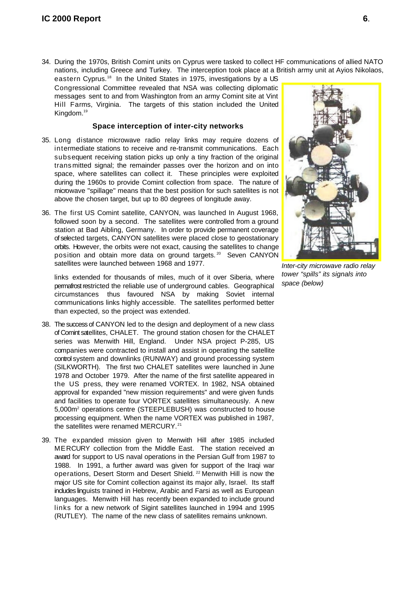34. During the 1970s, British Comint units on Cyprus were tasked to collect HF communications of allied NATO nations, including Greece and Turkey. The interception took place at a British army unit at Ayios Nikolaos,

eastern Cyprus.<sup>18</sup> In the United States in 1975, investigations by a US Congressional Committee revealed that NSA was collecting diplomatic messages sent to and from Washington from an army Comint site at Vint Hill Farms, Virginia. The targets of this station included the United Kingdom.<sup>19</sup>

#### **Space interception of inter-city networks**

- 35. Long distance microwave radio relay links may require dozens of intermediate stations to receive and re-transmit communications. Each subsequent receiving station picks up only a tiny fraction of the original trans mitted signal; the remainder passes over the horizon and on into space, where satellites can collect it. These principles were exploited during the 1960s to provide Comint collection from space. The nature of microwave "spillage" means that the best position for such satellites is not above the chosen target, but up to 80 degrees of longitude away.
- 36. The first US Comint satellite, CANYON, was launched In August 1968, followed soon by a second. The satellites were controlled from a ground station at Bad Aibling, Germany. In order to provide permanent coverage of selected targets, CANYON satellites were placed close to geostationary orbits. However, the orbits were not exact, causing the satellites to change position and obtain more data on ground targets.<sup>20</sup> Seven CANYON satellites were launched between 1968 and 1977.

links extended for thousands of miles, much of it over Siberia, where permafrost restricted the reliable use of underground cables. Geographical circumstances thus favoured NSA by making Soviet internal communications links highly accessible. The satellites performed better than expected, so the project was extended.

- 38. The success of CANYON led to the design and deployment of a new class of Comint satellites, CHALET. The ground station chosen for the CHALET series was Menwith Hill, England. Under NSA project P-285, US companies were contracted to install and assist in operating the satellite control system and downlinks (RUNWAY) and ground processing system (SILKWORTH). The first two CHALET satellites were launched in June 1978 and October 1979. After the name of the first satellite appeared in the US press, they were renamed VORTEX. In 1982, NSA obtained approval for expanded "new mission requirements" and were given funds and facilities to operate four VORTEX satellites simultaneously. A new 5,000m<sup>2</sup> operations centre (STEEPLEBUSH) was constructed to house processing equipment. When the name VORTEX was published in 1987, the satellites were renamed MERCURY.<sup>21</sup>
- 39. The expanded mission given to Menwith Hill after 1985 included MERCURY collection from the Middle East. The station received an award for support to US naval operations in the Persian Gulf from 1987 to 1988. In 1991, a further award was given for support of the Iraqi war operations, Desert Storm and Desert Shield.<sup>22</sup> Menwith Hill is now the major US site for Comint collection against its major ally, Israel. Its staff includes linguists trained in Hebrew, Arabic and Farsi as well as European languages. Menwith Hill has recently been expanded to include ground links for a new network of Sigint satellites launched in 1994 and 1995 (RUTLEY). The name of the new class of satellites remains unknown.



*Inter-city microwave radio relay tower "spills" its signals into space (below)*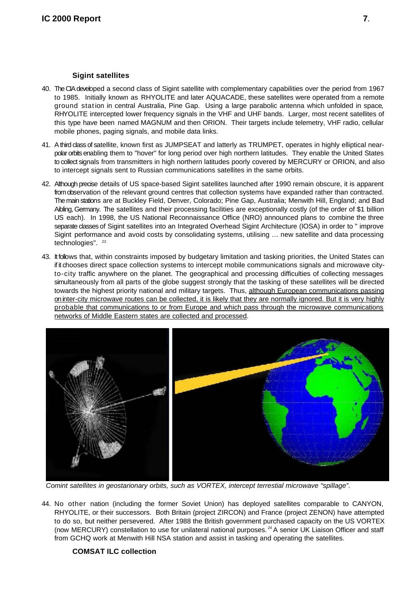#### **Sigint satellites**

- 40. The CIA developed a second class of Sigint satellite with complementary capabilities over the period from 1967 to 1985. Initially known as RHYOLITE and later AQUACADE, these satellites were operated from a remote ground station in central Australia, Pine Gap. Using a large parabolic antenna which unfolded in space, RHYOLITE intercepted lower frequency signals in the VHF and UHF bands. Larger, most recent satellites of this type have been named MAGNUM and then ORION. Their targets include telemetry, VHF radio, cellular mobile phones, paging signals, and mobile data links.
- 41. A third class of satellite, known first as JUMPSEAT and latterly as TRUMPET, operates in highly elliptical nearpolar orbits enabling them to "hover" for long period over high northern latitudes. They enable the United States to collect signals from transmitters in high northern latitudes poorly covered by MERCURY or ORION, and also to intercept signals sent to Russian communications satellites in the same orbits.
- 42. Although precise details of US space-based Sigint satellites launched after 1990 remain obscure, it is apparent from observation of the relevant ground centres that collection systems have expanded rather than contracted. The main stations are at Buckley Field, Denver, Colorado; Pine Gap, Australia; Menwith Hill, England; and Bad Aibling, Germany. The satellites and their processing facilities are exceptionally costly (of the order of \$1 billion US each). In 1998, the US National Reconnaissance Office (NRO) announced plans to combine the three separate classes of Sigint satellites into an Integrated Overhead Sigint Architecture (IOSA) in order to " improve Sigint performance and avoid costs by consolidating systems, utilising … new satellite and data processing technologies". <sup>23</sup>
- 43. It follows that, within constraints imposed by budgetary limitation and tasking priorities, the United States can if it chooses direct space collection systems to intercept mobile communications signals and microwave cityto-city traffic anywhere on the planet. The geographical and processing difficulties of collecting messages simultaneously from all parts of the globe suggest strongly that the tasking of these satellites will be directed towards the highest priority national and military targets. Thus, although European communications passing on inter-city microwave routes can be collected, it is likely that they are normally ignored. But it is very highly probable that communications to or from Europe and which pass through the microwave communications networks of Middle Eastern states are collected and processed.



*Comint satellites in geostarionary orbits, such as VORTEX, intercept terrestial microwave "spillage".*

44. No other nation (including the former Soviet Union) has deployed satellites comparable to CANYON, RHYOLITE, or their successors. Both Britain (project ZIRCON) and France (project ZENON) have attempted to do so, but neither persevered. After 1988 the British government purchased capacity on the US VORTEX (now MERCURY) constellation to use for unilateral national purposes.<sup>24</sup> A senior UK Liaison Officer and staff from GCHQ work at Menwith Hill NSA station and assist in tasking and operating the satellites.

#### **COMSAT ILC collection**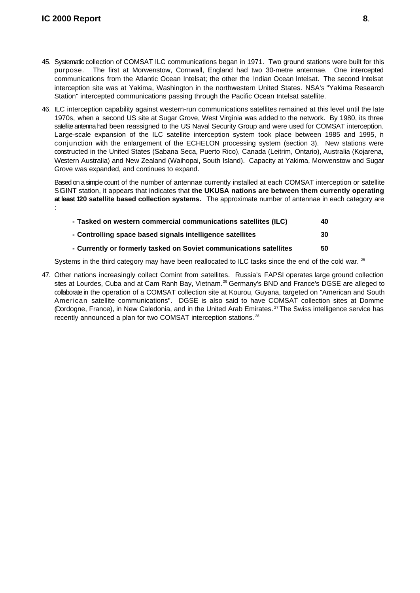- 45. Systematic collection of COMSAT ILC communications began in 1971. Two ground stations were built for this purpose. The first at Morwenstow, Cornwall, England had two 30-metre antennae. One intercepted communications from the Atlantic Ocean Intelsat; the other the Indian Ocean Intelsat. The second Intelsat interception site was at Yakima, Washington in the northwestern United States. NSA's "Yakima Research Station" intercepted communications passing through the Pacific Ocean Intelsat satellite.
- 46. ILC interception capability against western-run communications satellites remained at this level until the late 1970s, when a second US site at Sugar Grove, West Virginia was added to the network. By 1980, its three satellite antenna had been reassigned to the US Naval Security Group and were used for COMSAT interception. Large-scale expansion of the ILC satellite interception system took place between 1985 and 1995, in conjunction with the enlargement of the ECHELON processing system (section 3). New stations were constructed in the United States (Sabana Seca, Puerto Rico), Canada (Leitrim, Ontario), Australia (Kojarena, Western Australia) and New Zealand (Waihopai, South Island). Capacity at Yakima, Morwenstow and Sugar Grove was expanded, and continues to expand.

Based on a simple count of the number of antennae currently installed at each COMSAT interception or satellite SIGINT station, it appears that indicates that **the UKUSA nations are between them currently operating at least 120 satellite based collection systems.** The approximate number of antennae in each category are :

| - Tasked on western commercial communications satellites (ILC)     | 40 |
|--------------------------------------------------------------------|----|
| - Controlling space based signals intelligence satellites          | 30 |
| - Currently or formerly tasked on Soviet communications satellites | 50 |

Systems in the third category may have been reallocated to ILC tasks since the end of the cold war. <sup>25</sup>

47. Other nations increasingly collect Comint from satellites. Russia's FAPSI operates large ground collection sites at Lourdes, Cuba and at Cam Ranh Bay, Vietnam.<sup>26</sup> Germany's BND and France's DGSE are alleged to collaborate in the operation of a COMSAT collection site at Kourou, Guyana, targeted on "American and South American satellite communications". DGSE is also said to have COMSAT collection sites at Domme (Dordogne, France), in New Caledonia, and in the United Arab Emirates.<sup>27</sup> The Swiss intelligence service has recently announced a plan for two COMSAT interception stations. <sup>28</sup>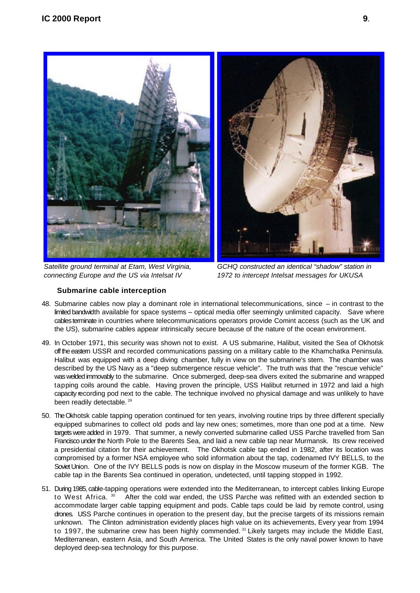

*Satellite ground terminal at Etam, West Virginia, connecting Europe and the US via Intelsat IV* 



*GCHQ constructed an identical "shadow" station in 1972 to intercept Intelsat messages for UKUSA*

#### **Submarine cable interception**

- 48. Submarine cables now play a dominant role in international telecommunications, since in contrast to the limited bandwidth available for space systems – optical media offer seemingly unlimited capacity. Save where cables terminate in countries where telecommunications operators provide Comint access (such as the UK and the US), submarine cables appear intrinsically secure because of the nature of the ocean environment.
- 49. In October 1971, this security was shown not to exist. A US submarine, Halibut, visited the Sea of Okhotsk off the eastern USSR and recorded communications passing on a military cable to the Khamchatka Peninsula. Halibut was equipped with a deep diving chamber, fully in view on the submarine's stern. The chamber was described by the US Navy as a "deep submergence rescue vehicle". The truth was that the "rescue vehicle" was welded immovably to the submarine. Once submerged, deep-sea divers exited the submarine and wrapped tapping coils around the cable. Having proven the principle, USS Halibut returned in 1972 and laid a high capacity recording pod next to the cable. The technique involved no physical damage and was unlikely to have been readily detectable.<sup>29</sup>
- 50. The Okhotsk cable tapping operation continued for ten years, involving routine trips by three different specially equipped submarines to collect old pods and lay new ones; sometimes, more than one pod at a time. New targets were added in 1979. That summer, a newly converted submarine called USS Parche travelled from San Francisco under the North Pole to the Barents Sea, and laid a new cable tap near Murmansk. Its crew received a presidential citation for their achievement. The Okhotsk cable tap ended in 1982, after its location was compromised by a former NSA employee who sold information about the tap, codenamed IVY BELLS, to the Soviet Union. One of the IVY BELLS pods is now on display in the Moscow museum of the former KGB. The cable tap in the Barents Sea continued in operation, undetected, until tapping stopped in 1992.
- 51. During 1985, cable-tapping operations were extended into the Mediterranean, to intercept cables linking Europe After the cold war ended, the USS Parche was refitted with an extended section to to West Africa. 30 accommodate larger cable tapping equipment and pods. Cable taps could be laid by remote control, using drones. USS Parche continues in operation to the present day, but the precise targets of its missions remain unknown. The Clinton administration evidently places high value on its achievements, Every year from 1994 to 1997, the submarine crew has been highly commended.  $31$  Likely targets may include the Middle East, Mediterranean, eastern Asia, and South America. The United States is the only naval power known to have deployed deep-sea technology for this purpose.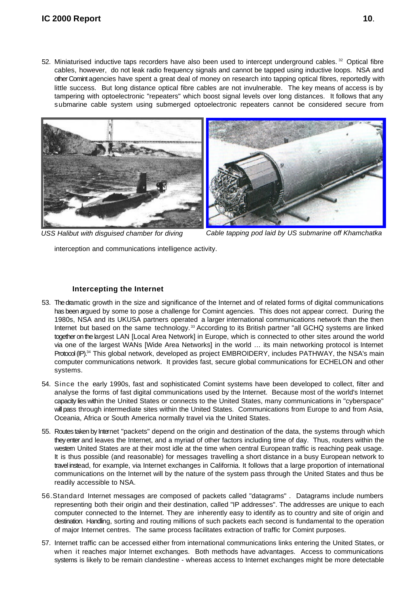52. Miniaturised inductive taps recorders have also been used to intercept underground cables.<sup>32</sup> Optical fibre cables, however, do not leak radio frequency signals and cannot be tapped using inductive loops. NSA and other Comint agencies have spent a great deal of money on research into tapping optical fibres, reportedly with little success. But long distance optical fibre cables are not invulnerable. The key means of access is by tampering with optoelectronic "repeaters" which boost signal levels over long distances. It follows that any submarine cable system using submerged optoelectronic repeaters cannot be considered secure from





*USS Halibut with disguised chamber for diving Cable tapping pod laid by US submarine off Khamchatka*

interception and communications intelligence activity.

#### **Intercepting the Internet**

- 53. The dramatic growth in the size and significance of the Internet and of related forms of digital communications has been argued by some to pose a challenge for Comint agencies. This does not appear correct. During the 1980s, NSA and its UKUSA partners operated a larger international communications network than the then Internet but based on the same technology.<sup>33</sup> According to its British partner "all GCHQ systems are linked together on the largest LAN [Local Area Network] in Europe, which is connected to other sites around the world via one of the largest WANs [Wide Area Networks] in the world … its main networking protocol is Internet Protocol (IP).<sup>34</sup> This global network, developed as project EMBROIDERY, includes PATHWAY, the NSA's main computer communications network. It provides fast, secure global communications for ECHELON and other systems.
- 54. Since the early 1990s, fast and sophisticated Comint systems have been developed to collect, filter and analyse the forms of fast digital communications used by the Internet. Because most of the world's Internet capacity lies within the United States or connects to the United States, many communications in "cyberspace" will pass through intermediate sites within the United States. Communications from Europe to and from Asia, Oceania, Africa or South America normally travel via the United States.
- 55. Routes taken by Internet "packets" depend on the origin and destination of the data, the systems through which they enter and leaves the Internet, and a myriad of other factors including time of day. Thus, routers within the westem United States are at their most idle at the time when central European traffic is reaching peak usage. It is thus possible (and reasonable) for messages travelling a short distance in a busy European network to travel instead, for example, via Internet exchanges in California. It follows that a large proportion of international communications on the Internet will by the nature of the system pass through the United States and thus be readily accessible to NSA.
- 56.Standard Internet messages are composed of packets called "datagrams" . Datagrams include numbers representing both their origin and their destination, called "IP addresses". The addresses are unique to each computer connected to the Internet. They are inherently easy to identify as to country and site of origin and destination. Handling, sorting and routing millions of such packets each second is fundamental to the operation of major Internet centres. The same process facilitates extraction of traffic for Comint purposes.
- 57. Internet traffic can be accessed either from international communications links entering the United States, or when it reaches major Internet exchanges. Both methods have advantages. Access to communications systems is likely to be remain clandestine - whereas access to Internet exchanges might be more detectable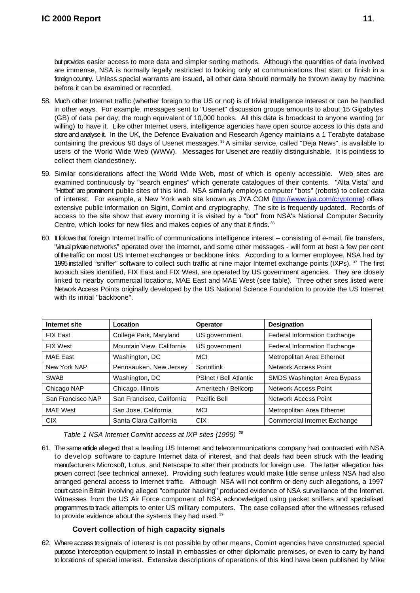but provides easier access to more data and simpler sorting methods. Although the quantities of data involved are immense, NSA is normally legally restricted to looking only at communications that start or finish in a foreign country. Unless special warrants are issued, all other data should normally be thrown away by machine before it can be examined or recorded.

- 58. Much other Internet traffic (whether foreign to the US or not) is of trivial intelligence interest or can be handled in other ways. For example, messages sent to "Usenet" discussion groups amounts to about 15 Gigabytes (GB) of data per day; the rough equivalent of 10,000 books. All this data is broadcast to anyone wanting (or willing) to have it. Like other Internet users, intelligence agencies have open source access to this data and store and analyse it. In the UK, the Defence Evaluation and Research Agency maintains a 1 Terabyte database containing the previous 90 days of Usenet messages. <sup>35</sup> A similar service, called "Deja News", is available to users of the World Wide Web (WWW). Messages for Usenet are readily distinguishable. It is pointless to collect them clandestinely.
- 59. Similar considerations affect the World Wide Web, most of which is openly accessible. Web sites are examined continuously by "search engines" which generate catalogues of their contents. "Alta Vista" and "Hotbot" are prominent public sites of this kind. NSA similarly employs computer "bots" (robots) to collect data of interest. For example, a New York web site known as JYA.COM (http://www.jya.com/cryptome) offers extensive public information on Sigint, Comint and cryptography. The site is frequently updated. Records of access to the site show that every morning it is visited by a "bot" from NSA's National Computer Security Centre, which looks for new files and makes copies of any that it finds. <sup>36</sup>
- 60. It follows that foreign Internet traffic of communications intelligence interest consisting of e-mail, file transfers, "virtual private networks" operated over the internet, and some other messages - will form at best a few per cent of the traffic on most US Internet exchanges or backbone links. According to a former employee, NSA had by 1995 installed "sniffer" software to collect such traffic at nine major Internet exchange points (IXPs).  $37$  The first two such sites identified, FIX East and FIX West, are operated by US government agencies. They are closely linked to nearby commercial locations, MAE East and MAE West (see table). Three other sites listed were Network Access Points originally developed by the US National Science Foundation to provide the US Internet with its initial "backbone".

| <b>Internet site</b> | Location                  | Operator               | <b>Designation</b>                  |
|----------------------|---------------------------|------------------------|-------------------------------------|
| <b>FIX East</b>      | College Park, Maryland    | US government          | <b>Federal Information Exchange</b> |
| <b>FIX West</b>      | Mountain View, California | US government          | Federal Information Exchange        |
| <b>MAE East</b>      | Washington, DC            | <b>MCI</b>             | Metropolitan Area Ethernet          |
| New York NAP         | Pennsauken, New Jersey    | Sprintlink             | Network Access Point                |
| <b>SWAB</b>          | Washington, DC            | PSInet / Bell Atlantic | SMDS Washington Area Bypass         |
| Chicago NAP          | Chicago, Illinois         | Ameritech / Bellcorp   | <b>Network Access Point</b>         |
| San Francisco NAP    | San Francisco, California | Pacific Bell           | Network Access Point                |
| <b>MAE West</b>      | San Jose, California      | <b>MCI</b>             | Metropolitan Area Ethernet          |
| <b>CIX</b>           | Santa Clara California    | <b>CIX</b>             | <b>Commercial Internet Exchange</b> |

*Table 1 NSA Internet Comint access at IXP sites (1995) <sup>38</sup>*

61. The same article alleged that a leading US Internet and telecommunications company had contracted with NSA to develop software to capture Internet data of interest, and that deals had been struck with the leading manufacturers Microsoft, Lotus, and Netscape to alter their products for foreign use. The latter allegation has proven correct (see technical annexe). Providing such features would make little sense unless NSA had also arranged general access to Internet traffic. Although NSA will not confirm or deny such allegations, a 1997 court case in Britain involving alleged "computer hacking" produced evidence of NSA surveillance of the Internet. Witnesses from the US Air Force component of NSA acknowledged using packet sniffers and specialised programmes to track attempts to enter US military computers. The case collapsed after the witnesses refused to provide evidence about the systems they had used.<sup>39</sup>

#### **Covert collection of high capacity signals**

62. Where access to signals of interest is not possible by other means, Comint agencies have constructed special purpose interception equipment to install in embassies or other diplomatic premises, or even to carry by hand to locations of special interest. Extensive descriptions of operations of this kind have been published by Mike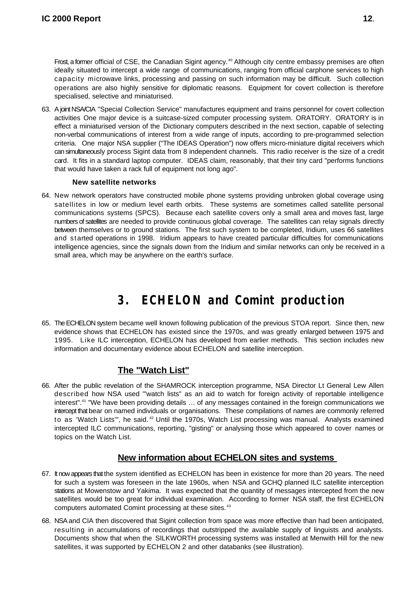Frost, a former official of CSE, the Canadian Sigint agency.<sup>40</sup> Although city centre embassy premises are often ideally situated to intercept a wide range of communications, ranging from official carphone services to high capacity microwave links, processing and passing on such information may be difficult. Such collection operations are also highly sensitive for diplomatic reasons. Equipment for covert collection is therefore specialised, selective and miniaturised.

63. A joint NSA/CIA "Special Collection Service" manufactures equipment and trains personnel for covert collection activities One major device is a suitcase-sized computer processing system. ORATORY. ORATORY is in effect a miniaturised version of the Dictionary computers described in the next section, capable of selecting non-verbal communications of interest from a wide range of inputs, according to pre-programmed selection criteria. One major NSA supplier ("The IDEAS Operation") now offers micro-miniature digital receivers which can simultaneously process Sigint data from 8 independent channels. This radio receiver is the size of a credit card. It fits in a standard laptop computer. IDEAS claim, reasonably, that their tiny card "performs functions that would have taken a rack full of equipment not long ago".

#### **New satellite networks**

64. New network operators have constructed mobile phone systems providing unbroken global coverage using satellites in low or medium level earth orbits. These systems are sometimes called satellite personal communications systems (SPCS). Because each satellite covers only a small area and moves fast, large numbers of satellites are needed to provide continuous global coverage. The satellites can relay signals directly between themselves or to ground stations. The first such system to be completed, Iridium, uses 66 satellites and started operations in 1998. Iridium appears to have created particular difficulties for communications intelligence agencies, since the signals down from the Iridium and similar networks can only be received in a small area, which may be anywhere on the earth's surface.

### **3. ECHELON and Comint production**

65. The ECHELON system became well known following publication of the previous STOA report. Since then, new evidence shows that ECHELON has existed since the 1970s, and was greatly enlarged between 1975 and 1995. Like ILC interception, ECHELON has developed from earlier methods. This section includes new information and documentary evidence about ECHELON and satellite interception.

#### **The "Watch List"**

66. After the public revelation of the SHAMROCK interception programme, NSA Director Lt General Lew Allen described how NSA used "'watch lists" as an aid to watch for foreign activity of reportable intelligence interest".<sup>41</sup> "We have been providing details ... of any messages contained in the foreign communications we intercept that bear on named individuals or organisations. These compilations of names are commonly referred to as 'Watch Lists'", he said.<sup>42</sup> Until the 1970s, Watch List processing was manual. Analysts examined intercepted ILC communications, reporting, "gisting" or analysing those which appeared to cover names or topics on the Watch List.

#### **New information about ECHELON sites and systems**

- 67. It now appears that the system identified as ECHELON has been in existence for more than 20 years. The need for such a system was foreseen in the late 1960s, when NSA and GCHQ planned ILC satellite interception stations at Mowenstow and Yakima. It was expected that the quantity of messages intercepted from the new satellites would be too great for individual examination. According to former NSA staff, the first ECHELON computers automated Comint processing at these sites. 43
- 68. NSA and CIA then discovered that Sigint collection from space was more effective than had been anticipated, resulting in accumulations of recordings that outstripped the available supply of linguists and analysts. Documents show that when the SILKWORTH processing systems was installed at Menwith Hill for the new satellites, it was supported by ECHELON 2 and other databanks (see illustration).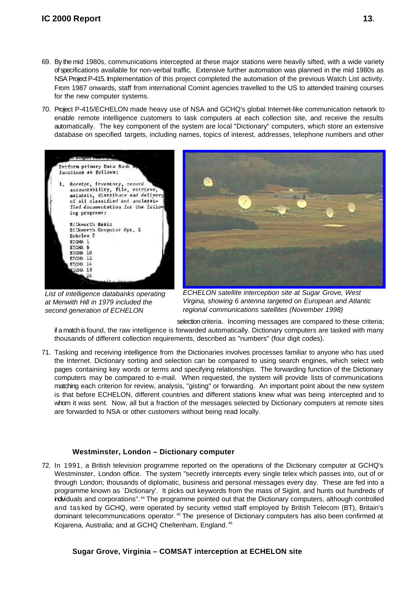- 69. By the mid 1980s, communications intercepted at these major stations were heavily sifted, with a wide variety of specifications available for non-verbal traffic. Extensive further automation was planned in the mid 1980s as NSA Project P-415. Implementation of this project completed the automation of the previous Watch List activity. From 1987 onwards, staff from international Comint agencies travelled to the US to attended training courses for the new computer systems.
- 70. Project P-415/ECHELON made heavy use of NSA and GCHQ's global Internet-like communication network to enable remote intelligence customers to task computers at each collection site, and receive the results automatically. The key component of the system are local "Dictionary" computers, which store an extensive database on specified targets, including names, topics of interest, addresses, telephone numbers and other



*List of intelligence databanks operating at Menwith Hill in 1979 included the second generation of ECHELON* 



*ECHELON satellite interception site at Sugar Grove, West Virgina, showing 6 antenna targeted on European and Atlantic regional communications satellites (November 1998)*

selection criteria. Incoming messages are compared to these criteria; if a match is found, the raw intelligence is forwarded automatically. Dictionary computers are tasked with many thousands of different collection requirements, described as "numbers" (four digit codes).

71. Tasking and receiving intelligence from the Dictionaries involves processes familiar to anyone who has used the Internet. Dictionary sorting and selection can be compared to using search engines, which select web pages containing key words or terms and specifying relationships. The forwarding function of the Dictionary computers may be compared to e-mail. When requested, the system will provide lists of communications matching each criterion for review, analysis, "gisting" or forwarding. An important point about the new system is that before ECHELON, different countries and different stations knew what was being intercepted and to whom it was sent. Now, all but a fraction of the messages selected by Dictionary computers at remote sites are forwarded to NSA or other customers without being read locally.

#### **Westminster, London – Dictionary computer**

72. In 1991, a British television programme reported on the operations of the Dictionary computer at GCHQ's Westminster, London office. The system "secretly intercepts every single telex which passes into, out of or through London; thousands of diplomatic, business and personal messages every day. These are fed into a programme known as `Dictionary'. It picks out keywords from the mass of Sigint, and hunts out hundreds of individuals and corporations".<sup>44</sup> The programme pointed out that the Dictionary computers, although controlled and tas ked by GCHQ, were operated by security vetted staff employed by British Telecom (BT), Britain's dominant telecommunications operator.<sup>45</sup> The presence of Dictionary computers has also been confirmed at Kojarena, Australia; and at GCHQ Cheltenham, England. <sup>46</sup>

#### **Sugar Grove, Virginia – COMSAT interception at ECHELON site**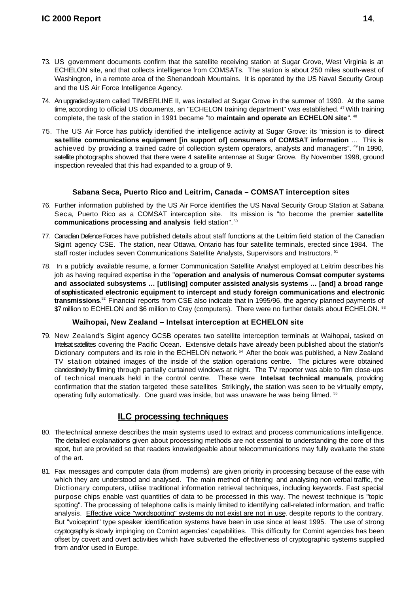- 73. US government documents confirm that the satellite receiving station at Sugar Grove, West Virginia is an ECHELON site, and that collects intelligence from COMSATs. The station is about 250 miles south-west of Washington, in a remote area of the Shenandoah Mountains. It is operated by the US Naval Security Group and the US Air Force Intelligence Agency.
- 74. An upgraded system called TIMBERLINE II, was installed at Sugar Grove in the summer of 1990. At the same time, according to official US documents, an "ECHELON training department" was established. <sup>47</sup> With training complete, the task of the station in 1991 became "to **maintain and operate an ECHELON site**". <sup>48</sup>
- 75. The US Air Force has publicly identified the intelligence activity at Sugar Grove: its "mission is to **direct satellite communications equipment [in support of] consumers of COMSAT information** ... This is achieved by providing a trained cadre of collection system operators, analysts and managers". <sup>49</sup> In 1990, satellite photographs showed that there were 4 satellite antennae at Sugar Grove. By November 1998, ground inspection revealed that this had expanded to a group of 9.

#### **Sabana Seca, Puerto Rico and Leitrim, Canada – COMSAT interception sites**

- 76. Further information published by the US Air Force identifies the US Naval Security Group Station at Sabana Sec a, Puerto Rico as a COMSAT interception site. Its mission is "to become the premier **satellite communications processing and analysis** field station". <sup>50</sup>
- 77. Canadian Defence Forces have published details about staff functions at the Leitrim field station of the Canadian Sigint agency CSE. The station, near Ottawa, Ontario has four satellite terminals, erected since 1984. The staff roster includes seven Communications Satellite Analysts, Supervisors and Instructors.<sup>51</sup>
- 78. In a publicly available resume, a former Communication Satellite Analyst employed at Leitrim describes his job as having required expertise in the "**operation and analysis of numerous Comsat computer systems and associated subsystems … [utilising] computer assisted analysis systems … [and] a broad range of sophisticated electronic equipment to intercept and study foreign communications and electronic** transmissions.<sup>52</sup> Financial reports from CSE also indicate that in 1995/96, the agency planned payments of \$7 million to ECHELON and \$6 million to Cray (computers). There were no further details about ECHELON. 53

#### **Waihopai, New Zealand – Intelsat interception at ECHELON site**

79. New Zealand's Sigint agency GCSB operates two satellite interception terminals at Waihopai, tasked on Intelsat satellites covering the Pacific Ocean. Extensive details have already been published about the station's Dictionary computers and its role in the ECHELON network.<sup>54</sup> After the book was published, a New Zealand TV station obtained images of the inside of the station operations centre. The pictures were obtained clandestinely by filming through partially curtained windows at night. The TV reporter was able to film close-ups of technical manuals held in the control centre. These were **Intelsat technical manuals**, providing confirmation that the station targeted these satellites Strikingly, the station was seen to be virtually empty, operating fully automatically. One guard was inside, but was unaware he was being filmed. <sup>55</sup>

#### **ILC processing techniques**

- 80. The technical annexe describes the main systems used to extract and process communications intelligence. The detailed explanations given about processing methods are not essential to understanding the core of this report, but are provided so that readers knowledgeable about telecommunications may fully evaluate the state of the art.
- 81. Fax messages and computer data (from modems) are given priority in processing because of the ease with which they are understood and analysed. The main method of filtering and analysing non-verbal traffic, the Dictionary computers, utilise traditional information retrieval techniques, including keywords. Fast special purpose chips enable vast quantities of data to be processed in this way. The newest technique is "topic spotting". The processing of telephone calls is mainly limited to identifying call-related information, and traffic analysis. Effective voice "wordspotting" systems do not exist are not in use, despite reports to the contrary. But "voiceprint" type speaker identification systems have been in use since at least 1995. The use of strong cryptography is slowly impinging on Comint agencies' capabilities. This difficulty for Comint agencies has been offset by covert and overt activities which have subverted the effectiveness of cryptographic systems supplied from and/or used in Europe.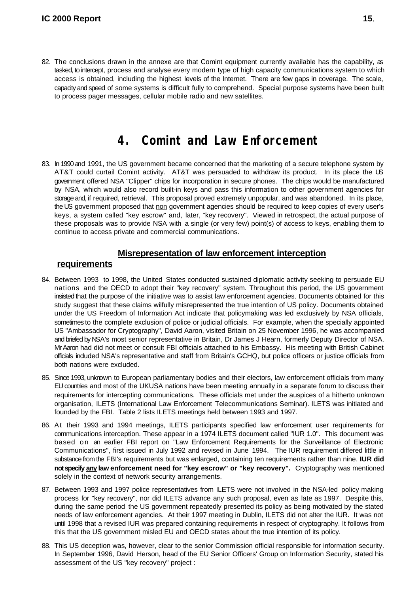82. The conclusions drawn in the annexe are that Comint equipment currently available has the capability, as tasked, to intercept, process and analyse every modern type of high capacity communications system to which access is obtained, including the highest levels of the Internet. There are few gaps in coverage. The scale, capacity and speed of some systems is difficult fully to comprehend. Special purpose systems have been built to process pager messages, cellular mobile radio and new satellites.

### **4. Comint and Law Enforcement**

83. In 1990 and 1991, the US government became concerned that the marketing of a secure telephone system by AT&T could curtail Comint activity. AT&T was persuaded to withdraw its product. In its place the US government offered NSA "Clipper" chips for incorporation in secure phones. The chips would be manufactured by NSA, which would also record built-in keys and pass this information to other government agencies for storage and, if required, retrieval. This proposal proved extremely unpopular, and was abandoned. In its place, the US government proposed that non government agencies should be required to keep copies of every user's keys, a system called "key escrow" and, later, "key recovery". Viewed in retrospect, the actual purpose of these proposals was to provide NSA with a single (or very few) point(s) of access to keys, enabling them to continue to access private and commercial communications.

#### **Misrepresentation of law enforcement interception**

#### **requirements**

- 84. Between 1993 to 1998, the United States conducted sustained diplomatic activity seeking to persuade EU nations and the OECD to adopt their "key recovery" system. Throughout this period, the US government insisted that the purpose of the initiative was to assist law enforcement agencies. Documents obtained for this study suggest that these claims wilfully misrepresented the true intention of US policy. Documents obtained under the US Freedom of Information Act indicate that policymaking was led exclusively by NSA officials, sometimes to the complete exclusion of police or judicial officials. For example, when the specially appointed US "Ambassador for Cryptography", David Aaron, visited Britain on 25 November 1996, he was accompanied and briefed by NSA's most senior representative in Britain, Dr James J Hearn, formerly Deputy Director of NSA. Mr Aaron had did not meet or consult FBI officials attached to his Embassy. His meeting with British Cabinet officials included NSA's representative and staff from Britain's GCHQ, but police officers or justice officials from both nations were excluded.
- 85. Since 1993, unknown to European parliamentary bodies and their electors, law enforcement officials from many EU countries and most of the UKUSA nations have been meeting annually in a separate forum to discuss their requirements for intercepting communications. These officials met under the auspices of a hitherto unknown organisation, ILETS (International Law Enforcement Telecommunications Seminar). ILETS was initiated and founded by the FBI. Table 2 lists ILETS meetings held between 1993 and 1997.
- 86. At their 1993 and 1994 meetings, ILETS participants specified law enforcement user requirements for communications interception. These appear in a 1974 ILETS document called "IUR 1.0". This document was based on an earlier FBI report on "Law Enforcement Requirements for the Surveillance of Electronic Communications", first issued in July 1992 and revised in June 1994. The IUR requirement differed little in substance from the FBI's requirements but was enlarged, containing ten requirements rather than nine. **IUR did not specify any law enforcement need for "key escrow" or "key recovery".** Cryptography was mentioned solely in the context of network security arrangements.
- 87. Between 1993 and 1997 police representatives from ILETS were not involved in the NSA-led policy making process for "key recovery", nor did ILETS advance any such proposal, even as late as 1997. Despite this, during the same period the US government repeatedly presented its policy as being motivated by the stated needs of law enforcement agencies. At their 1997 meeting in Dublin, ILETS did not alter the IUR. It was not until 1998 that a revised IUR was prepared containing requirements in respect of cryptography. It follows from this that the US government misled EU and OECD states about the true intention of its policy.
- 88. This US deception was, however, clear to the senior Commission official responsible for information security. In September 1996, David Herson, head of the EU Senior Officers' Group on Information Security, stated his assessment of the US "key recovery" project :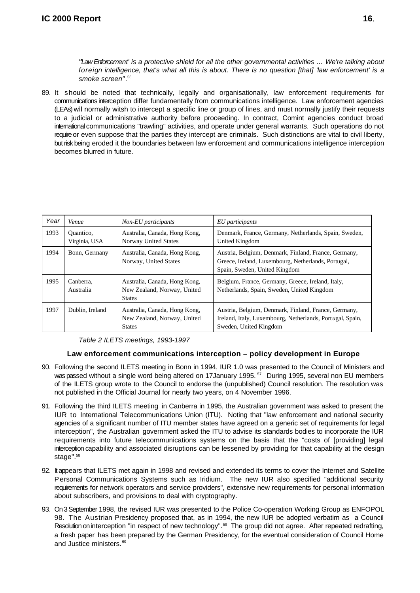*"'Law Enforcement' is a protective shield for all the other governmental activities … We're talking about foreign intelligence, that's what all this is about. There is no question [that] 'law enforcement' is a smoke screen"*. 56

89. It should be noted that technically, legally and organisationally, law enforcement requirements for communications interception differ fundamentally from communications intelligence. Law enforcement agencies (LEAs) will normally witsh to intercept a specific line or group of lines, and must normally justify their requests to a judicial or administrative authority before proceeding. In contract, Comint agencies conduct broad international communications "trawling" activities, and operate under general warrants. Such operations do not require or even suppose that the parties they intercept are criminals. Such distinctions are vital to civil liberty, but risk being eroded it the boundaries between law enforcement and communications intelligence interception becomes blurred in future.

| Year | Venue                      | Non-EU participants                                                           | EU participants                                                                                                                              |
|------|----------------------------|-------------------------------------------------------------------------------|----------------------------------------------------------------------------------------------------------------------------------------------|
| 1993 | Quantico,<br>Virginia, USA | Australia, Canada, Hong Kong,<br><b>Norway United States</b>                  | Denmark, France, Germany, Netherlands, Spain, Sweden,<br>United Kingdom                                                                      |
| 1994 | Bonn, Germany              | Australia, Canada, Hong Kong,<br>Norway, United States                        | Austria, Belgium, Denmark, Finland, France, Germany,<br>Greece, Ireland, Luxembourg, Netherlands, Portugal,<br>Spain, Sweden, United Kingdom |
| 1995 | Canberra.<br>Australia     | Australia, Canada, Hong Kong,<br>New Zealand, Norway, United<br><b>States</b> | Belgium, France, Germany, Greece, Ireland, Italy,<br>Netherlands, Spain, Sweden, United Kingdom                                              |
| 1997 | Dublin, Ireland            | Australia, Canada, Hong Kong,<br>New Zealand, Norway, United<br><b>States</b> | Austria, Belgium, Denmark, Finland, France, Germany,<br>Ireland, Italy, Luxembourg, Netherlands, Portugal, Spain,<br>Sweden, United Kingdom  |

|  | Table 2 ILETS meetings, 1993-1997 |  |
|--|-----------------------------------|--|
|--|-----------------------------------|--|

#### **Law enforcement communications interception – policy development in Europe**

- 90. Following the second ILETS meeting in Bonn in 1994, IUR 1.0 was presented to the Council of Ministers and was passed without a single word being altered on 17January 1995.<sup>57</sup> During 1995, several non EU members of the ILETS group wrote to the Council to endorse the (unpublished) Council resolution. The resolution was not published in the Official Journal for nearly two years, on 4 November 1996.
- 91. Following the third ILETS meeting in Canberra in 1995, the Australian government was asked to present the IUR to International Telecommunications Union (ITU). Noting that "law enforcement and national security agencies of a significant number of ITU member states have agreed on a generic set of requirements for legal interception", the Australian government asked the ITU to advise its standards bodies to incorporate the IUR requirements into future telecommunications systems on the basis that the "costs of [providing] legal interception capability and associated disruptions can be lessened by providing for that capability at the design stage".<sup>58</sup>
- 92. It appears that ILETS met again in 1998 and revised and extended its terms to cover the Internet and Satellite Personal Communications Systems such as Iridium. The new IUR also specified "additional security requirements for network operators and service providers", extensive new requirements for personal information about subscribers, and provisions to deal with cryptography.
- 93. On 3 September 1998, the revised IUR was presented to the Police Co-operation Working Group as ENFOPOL 98. The Austrian Presidency proposed that, as in 1994, the new IUR be adopted verbatim as a Council Resolution on interception "in respect of new technology".<sup>59</sup> The group did not agree. After repeated redrafting, a fresh paper has been prepared by the German Presidency, for the eventual consideration of Council Home and Justice ministers.<sup>60</sup>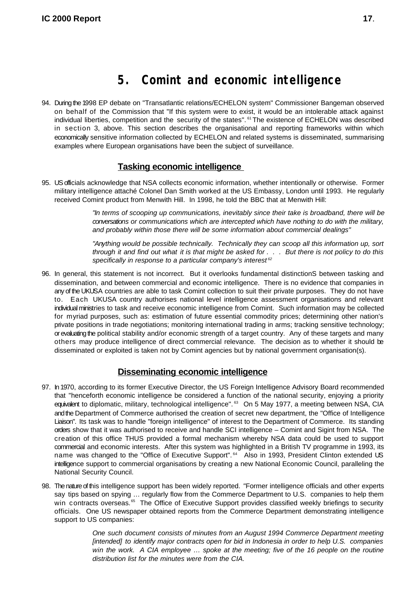### **5. Comint and economic intelligence**

94. During the 1998 EP debate on "Transatlantic relations/ECHELON system" Commissioner Bangeman observed on behalf of the Commission that "If this system were to exist, it would be an intolerable attack against individual liberties, competition and the security of the states". <sup>61</sup> The existence of ECHELON was described in section 3, above. This section describes the organisational and reporting frameworks within which economically sensitive information collected by ECHELON and related systems is disseminated, summarising examples where European organisations have been the subject of surveillance.

#### **Tasking economic intelligence**

95. US officials acknowledge that NSA collects economic information, whether intentionally or otherwise. Former military intelligence attaché Colonel Dan Smith worked at the US Embassy, London until 1993. He regularly received Comint product from Menwith Hill. In 1998, he told the BBC that at Menwith Hill:

> *"In terms of scooping up communications, inevitably since their take is broadband, there will be conversations or communications which are intercepted which have nothing to do with the military, and probably within those there will be some information about commercial dealings"*

> *"Anything would be possible technically. Technically they can scoop all this information up, sort through it and find out what it is that might be asked for . . . But there is not policy to do this specifically in response to a particular company's interest <sup>62</sup>*

96. In general, this statement is not incorrect. But it overlooks fundamental distinctionS between tasking and dissemination, and between commercial and economic intelligence. There is no evidence that companies in any of the UKUSA countries are able to task Comint collection to suit their private purposes. They do not have to. Each UKUSA country authorises national level intelligence assessment organisations and relevant individual ministries to task and receive economic intelligence from Comint. Such information may be collected for myriad purposes, such as: estimation of future essential commodity prices; determining other nation's private positions in trade negotiations; monitoring international trading in arms; tracking sensitive technology; or evaluating the political stability and/or economic strength of a target country. Any of these targets and many others may produce intelligence of direct commercial relevance. The decision as to whether it should be disseminated or exploited is taken not by Comint agencies but by national government organisation(s).

#### **Disseminating economic intelligence**

- 97. In 1970, according to its former Executive Director, the US Foreign Intelligence Advisory Board recommended that "henceforth economic intelligence be considered a function of the national security, enjoying a priority equivalent to diplomatic, military, technological intelligence".<sup>63</sup> On 5 May 1977, a meeting between NSA, CIA and the Department of Commerce authorised the creation of secret new department, the "Office of Intelligence Liaison". Its task was to handle "foreign intelligence" of interest to the Department of Commerce. Its standing orders show that it was authorised to receive and handle SCI intelligence – Comint and Sigint from NSA. The creation of this office THUS provided a formal mechanism whereby NSA data could be used to support commercial and economic interests. After this system was highlighted in a British TV programme in 1993, its name was changed to the "Office of Executive Support".<sup>64</sup> Also in 1993, President Clinton extended US intelligence support to commercial organisations by creating a new National Economic Council, paralleling the National Security Council.
- 98. The nature of this intelligence support has been widely reported. *"*Former intelligence officials and other experts say tips based on spying … regularly flow from the Commerce Department to U.S. companies to help them win contracts overseas.<sup>65</sup> The Office of Executive Support provides classified weekly briefings to security officials. One US newspaper obtained reports from the Commerce Department demonstrating intelligence support to US companies:

*One such document consists of minutes from an August 1994 Commerce Department meeting [intended] to identify major contracts open for bid in Indonesia in order to help U.S. companies win the work. A CIA employee … spoke at the meeting; five of the 16 people on the routine distribution list for the minutes were from the CIA.*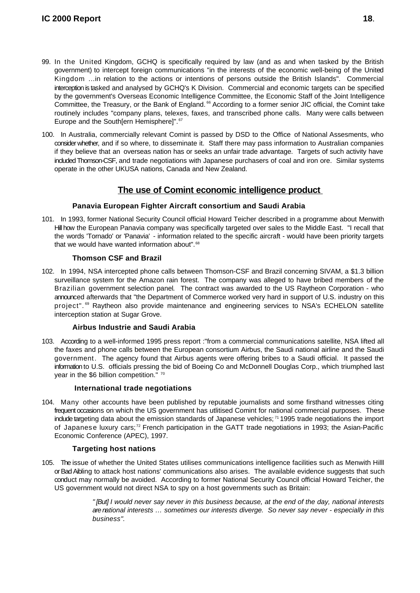- 99. In the United Kingdom, GCHQ is specifically required by law (and as and when tasked by the British government) to intercept foreign communications "in the interests of the economic well-being of the United Kingdom …in relation to the actions or intentions of persons outside the British Islands". Commercial interception is tasked and analysed by GCHQ's K Division. Commercial and economic targets can be specified by the government's Overseas Economic Intelligence Committee, the Economic Staff of the Joint Intelligence Committee, the Treasury, or the Bank of England.<sup>66</sup> According to a former senior JIC official, the Comint take routinely includes "company plans, telexes, faxes, and transcribed phone calls. Many were calls between Europe and the South[ern Hemisphere]".<sup>67</sup>
- 100. In Australia, commercially relevant Comint is passed by DSD to the Office of National Assesments, who consider whether, and if so where, to disseminate it. Staff there may pass information to Australian companies if they believe that an overseas nation has or seeks an unfair trade advantage. Targets of such activity have included Thomson-CSF, and trade negotiations with Japanese purchasers of coal and iron ore. Similar systems operate in the other UKUSA nations, Canada and New Zealand.

#### **The use of Comint economic intelligence product**

#### **Panavia European Fighter Aircraft consortium and Saudi Arabia**

101. In 1993, former National Security Council official Howard Teicher described in a programme about Menwith Hill how the European Panavia company was specifically targeted over sales to the Middle East. "I recall that the words 'Tornado' or 'Panavia' - information related to the specific aircraft - would have been priority targets that we would have wanted information about".<sup>68</sup>

#### **Thomson CSF and Brazil**

102. In 1994, NSA intercepted phone calls between Thomson-CSF and Brazil concerning SIVAM, a \$1.3 billion surveillance system for the Amazon rain forest. The company was alleged to have bribed members of the Brazilian government selection panel*.* The contract was awarded to the US Raytheon Corporation - who announced afterwards that "the Department of Commerce worked very hard in support of U.S. industry on this project".<sup>69</sup> Raytheon also provide maintenance and engineering services to NSA's ECHELON satellite interception station at Sugar Grove.

#### **Airbus Industrie and Saudi Arabia**

103. According to a well-informed 1995 press report :"from a commercial communications satellite, NSA lifted all the faxes and phone calls between the European consortium Airbus, the Saudi national airline and the Saudi government. The agency found that Airbus agents were offering bribes to a Saudi official. It passed the information to U.S. officials pressing the bid of Boeing Co and McDonnell Douglas Corp., which triumphed last year in the \$6 billion competition." 70

#### **International trade negotiations**

104. Many other accounts have been published by reputable journalists and some firsthand witnesses citing frequent occasions on which the US government has utlitised Comint for national commercial purposes. These include targeting data about the emission standards of Japanese vehicles; 71 1995 trade negotiations the import of Japanese luxury cars;<sup>72</sup> French participation in the GATT trade negotiations in 1993; the Asian-Pacific Economic Conference (APEC), 1997.

#### **Targeting host nations**

105. The issue of whether the United States utilises communications intelligence facilities such as Menwith Hilll or Bad Aibling to attack host nations' communications also arises. The available evidence suggests that such conduct may normally be avoided. According to former National Security Council official Howard Teicher, the US government would not direct NSA to spy on a host governments such as Britain:

> *" [But] I would never say never in this business because, at the end of the day, national interests are national interests … sometimes our interests diverge. So never say never - especially in this business".*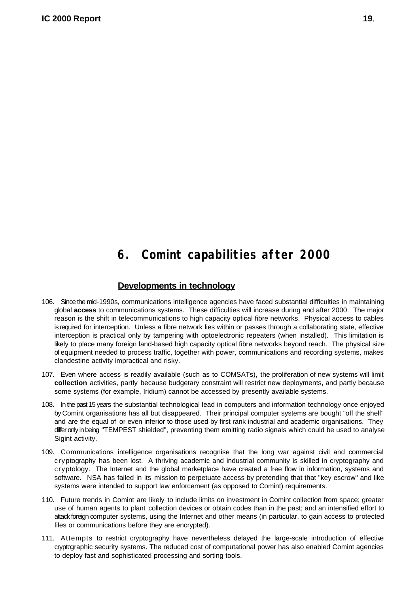### **6. Comint capabilities after 2000**

#### **Developments in technology**

- 106. Since the mid-1990s, communications intelligence agencies have faced substantial difficulties in maintaining global **access** to communications systems. These difficulties will increase during and after 2000. The major reason is the shift in telecommunications to high capacity optical fibre networks. Physical access to cables is required for interception. Unless a fibre network lies within or passes through a collaborating state, effective interception is practical only by tampering with optoelectronic repeaters (when installed). This limitation is likely to place many foreign land-based high capacity optical fibre networks beyond reach. The physical size of equipment needed to process traffic, together with power, communications and recording systems, makes clandestine activity impractical and risky.
- 107. Even where access is readily available (such as to COMSATs), the proliferation of new systems will limit **collection** activities, partly because budgetary constraint will restrict new deployments, and partly because some systems (for example, Iridium) cannot be accessed by presently available systems.
- 108. In the past 15 years the substantial technological lead in computers and information technology once enjoyed by Comint organisations has all but disappeared. Their principal computer systems are bought "off the shelf" and are the equal of or even inferior to those used by first rank industrial and academic organisations. They differ only in being "TEMPEST shielded", preventing them emitting radio signals which could be used to analyse Sigint activity.
- 109. Communications intelligence organisations recognise that the long war against civil and commercial cryptography has been lost. A thriving academic and industrial community is skilled in cryptography and cryptology. The Internet and the global marketplace have created a free flow in information, systems and software. NSA has failed in its mission to perpetuate access by pretending that that "key escrow" and like systems were intended to support law enforcement (as opposed to Comint) requirements.
- 110. Future trends in Comint are likely to include limits on investment in Comint collection from space; greater use of human agents to plant collection devices or obtain codes than in the past; and an intensified effort to attack foreign computer systems, using the Internet and other means (in particular, to gain access to protected files or communications before they are encrypted).
- 111. Attempts to restrict cryptography have nevertheless delayed the large-scale introduction of effective cryptographic security systems. The reduced cost of computational power has also enabled Comint agencies to deploy fast and sophisticated processing and sorting tools.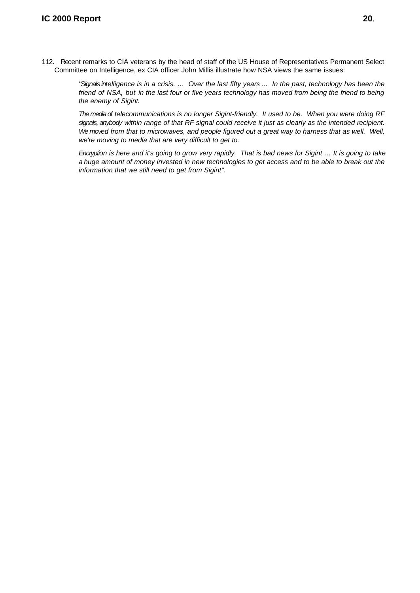112. Recent remarks to CIA veterans by the head of staff of the US House of Representatives Permanent Select Committee on Intelligence, ex CIA officer John Millis illustrate how NSA views the same issues:

> *"Signals intelligence is in a crisis. … Over the last fifty years ... In the past, technology has been the friend of NSA, but in the last four or five years technology has moved from being the friend to being the enemy of Sigint.*

> *The media of telecommunications is no longer Sigint-friendly. It used to be. When you were doing RF signals, anybody within range of that RF signal could receive it just as clearly as the intended recipient. We moved from that to microwaves, and people figured out a great way to harness that as well. Well, we're moving to media that are very difficult to get to.*

> *Encryption is here and it's going to grow very rapidly. That is bad news for Sigint … It is going to take a huge amount of money invested in new technologies to get access and to be able to break out the information that we still need to get from Sigint".*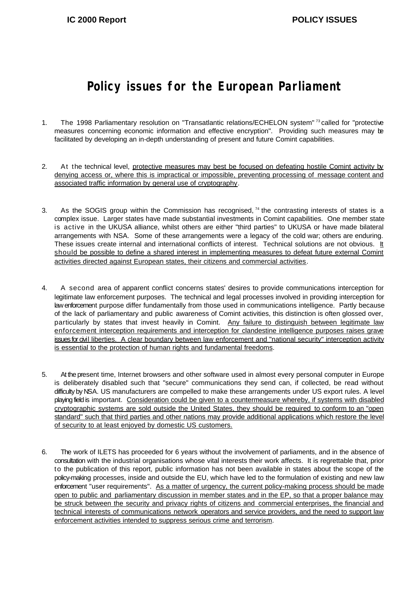### **Policy issues for the European Parliament**

- 1. The 1998 Parliamentary resolution on "Transatlantic relations/ECHELON system" <sup>73</sup> called for "protective measures concerning economic information and effective encryption". Providing such measures may be facilitated by developing an in-depth understanding of present and future Comint capabilities.
- 2. At the technical level, protective measures may best be focused on defeating hostile Comint activity by denying access or, where this is impractical or impossible, preventing processing of message content and associated traffic information by general use of cryptography.
- 3. As the SOGIS group within the Commission has recognised,  $74$  the contrasting interests of states is a complex issue. Larger states have made substantial investments in Comint capabilities. One member state is active in the UKUSA alliance, whilst others are either "third parties" to UKUSA or have made bilateral arrangements with NSA. Some of these arrangements were a legacy of the cold war; others are enduring. These issues create internal and international conflicts of interest. Technical solutions are not obvious. It should be possible to define a shared interest in implementing measures to defeat future external Comint activities directed against European states, their citizens and commercial activities.
- 4. A second area of apparent conflict concerns states' desires to provide communications interception for legitimate law enforcement purposes. The technical and legal processes involved in providing interception for law enforcement purpose differ fundamentally from those used in communications intelligence. Partly because of the lack of parliamentary and public awareness of Comint activities, this distinction is often glossed over, particularly by states that invest heavily in Comint. Any failure to distinguish between legitimate law enforcement interception requirements and interception for clandestine intelligence purposes raises grave issues for civil liberties. A clear boundary between law enforcement and "national security" interception activity is essential to the protection of human rights and fundamental freedoms.
- 5. At the present time, Internet browsers and other software used in almost every personal computer in Europe is deliberately disabled such that "secure" communications they send can, if collected, be read without difficulty by NSA. US manufacturers are compelled to make these arrangements under US export rules. A level playing field is important. Consideration could be given to a countermeasure whereby, if systems with disabled cryptographic systems are sold outside the United States, they should be required to conform to an "open standard" such that third parties and other nations may provide additional applications which restore the level of security to at least enjoyed by domestic US customers.
- 6. The work of ILETS has proceeded for 6 years without the involvement of parliaments, and in the absence of consultation with the industrial organisations whose vital interests their work affects. It is regrettable that, prior to the publication of this report, public information has not been available in states about the scope of the policy-making processes, inside and outside the EU, which have led to the formulation of existing and new law enforcement "user requirements". As a matter of urgency, the current policy-making process should be made open to public and parliamentary discussion in member states and in the EP, so that a proper balance may be struck between the security and privacy rights of citizens and commercial enterprises, the financial and technical interests of communications network operators and service providers, and the need to support law enforcement activities intended to suppress serious crime and terrorism.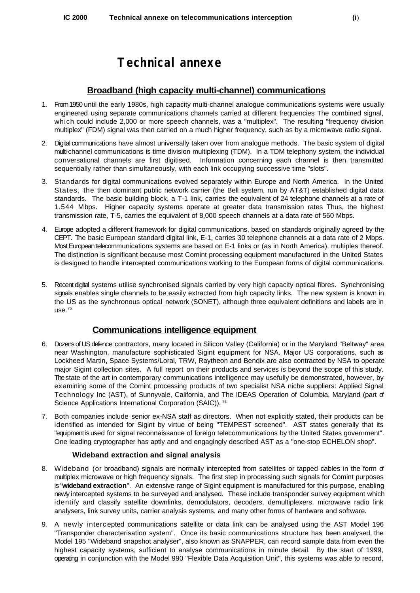### **Technical annexe**

#### **Broadband (high capacity multi-channel) communications**

- 1. From 1950 until the early 1980s, high capacity multi-channel analogue communications systems were usually engineered using separate communications channels carried at different frequencies The combined signal, which could include 2,000 or more speech channels, was a "multiplex". The resulting "frequency division multiplex" (FDM) signal was then carried on a much higher frequency, such as by a microwave radio signal.
- 2. Digital communications have almost universally taken over from analogue methods. The basic system of digital multi-channel communications is time division multiplexing (TDM). In a TDM telephony system, the individual conversational channels are first digitised. Information concerning each channel is then transmitted sequentially rather than simultaneously, with each link occupying successive time "slots".
- 3. Standards for digital communications evolved separately within Europe and North America. In the United States, the then dominant public network carrier (the Bell system, run by AT&T) established digital data standards. The basic building block, a T-1 link, carries the equivalent of 24 telephone channels at a rate of 1.544 Mbps. Higher capacity systems operate at greater data transmission rates Thus, the highest transmission rate, T-5, carries the equivalent of 8,000 speech channels at a data rate of 560 Mbps.
- 4. Europe adopted a different framework for digital communications, based on standards originally agreed by the CEPT. The basic European standard digital link, E-1, carries 30 telephone channels at a data rate of 2 Mbps. Most European telecommunications systems are based on E-1 links or (as in North America), multiples thereof. The distinction is significant because most Comint processing equipment manufactured in the United States is designed to handle intercepted communications working to the European forms of digital communications.
- 5. Recent digital systems utilise synchronised signals carried by very high capacity optical fibres. Synchronising signals enables single channels to be easily extracted from high capacity links. The new system is known in the US as the synchronous optical network (SONET), although three equivalent definitions and labels are in  $use.<sup>75</sup>$

#### **Communications intelligence equipment**

- 6. Dozens of US defence contractors, many located in Silicon Valley (California) or in the Maryland "Beltway" area near Washington, manufacture sophisticated Sigint equipment for NSA. Major US corporations, such as Lockheed Martin, Space Systems/Loral, TRW, Raytheon and Bendix are also contracted by NSA to operate major Sigint collection sites. A full report on their products and services is beyond the scope of this study. The state of the art in contemporary communications intelligence may usefully be demonstrated, however, by examining some of the Comint processing products of two specialist NSA niche suppliers: Applied Signal Technology Inc (AST), of Sunnyvale, California, and The IDEAS Operation of Columbia, Maryland (part of Science Applications International Corporation (SAIC)).<sup>76</sup>
- 7. Both companies include senior ex-NSA staff as directors. When not explicitly stated, their products can be identified as intended for Sigint by virtue of being "TEMPEST screened". AST states generally that its "equipment is used for signal reconnaissance of foreign telecommunications by the United States government". One leading cryptographer has aptly and and engagingly described AST as a "one-stop ECHELON shop".

#### **Wideband extraction and signal analysis**

- 8. Wideband (or broadband) signals are normally intercepted from satellites or tapped cables in the form of multiplex microwave or high frequency signals. The first step in processing such signals for Comint purposes is "**wideband extraction**". An extensive range of Sigint equipment is manufactured for this purpose, enabling newly intercepted systems to be surveyed and analysed. These include transponder survey equipment which identify and classify satellite downlinks, demodulators, decoders, demultiplexers, microwave radio link analysers, link survey units, carrier analysis systems, and many other forms of hardware and software.
- 9. A newly interc epted communications satellite or data link can be analysed using the AST Model 196 "Transponder characterisation system". Once its basic communications structure has been analysed, the Model 195 "Wideband snapshot analyser", also known as SNAPPER, can record sample data from even the highest capacity systems, sufficient to analyse communications in minute detail. By the start of 1999, operating in conjunction with the Model 990 "Flexible Data Acquisition Unit", this systems was able to record,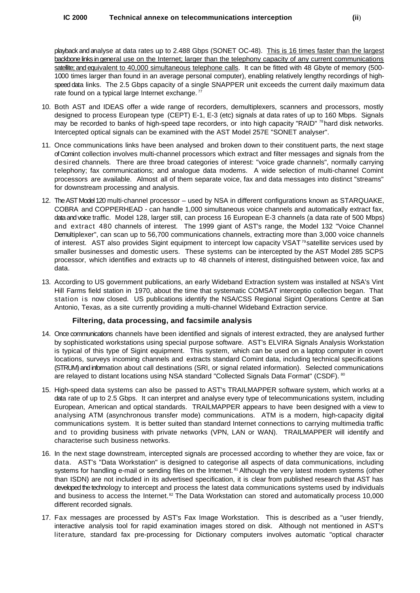playback and analyse at data rates up to 2.488 Gbps (SONET OC-48). This is 16 times faster than the largest backbone links in general use on the Internet; larger than the telephony capacity of any current communications satellite; and equivalent to 40,000 simultaneous telephone calls. It can be fitted with 48 Gbyte of memory (500-1000 times larger than found in an average personal computer), enabling relatively lengthy recordings of highspeed data links. The 2.5 Gbps capacity of a single SNAPPER unit exceeds the current daily maximum data rate found on a typical large Internet exchange.<sup>77</sup>

- 10. Both AST and IDEAS offer a wide range of recorders, demultiplexers, scanners and processors, mostly designed to process European type (CEPT) E-1, E-3 (etc) signals at data rates of up to 160 Mbps. Signals may be recorded to banks of high-speed tape recorders, or into high capacity "RAID" <sup>78</sup> hard disk networks. Intercepted optical signals can be examined with the AST Model 257E "SONET analyser".
- 11. Once communications links have been analysed and broken down to their constituent parts, the next stage of Comint collection involves multi-channel processors which extract and filter messages and signals from the desired channels. There are three broad categories of interest: "voice grade channels", normally carrying telephony; fax communications; and analogue data modems. A wide selection of multi-channel Comint processors are available. Almost all of them separate voice, fax and data messages into distinct "streams" for downstream processing and analysis.
- 12. The AST Model 120 multi-channel processor used by NSA in different configurations known as STARQUAKE, COBRA and COPPERHEAD - can handle 1,000 simultaneous voice channels and automatically extract fax, data and voice traffic. Model 128, larger still, can process 16 European E-3 channels (a data rate of 500 Mbps) and extract 480 channels of interest. The 1999 giant of AST's range, the Model 132 "Voice Channel Demultiplexer", can scan up to 56,700 communications channels, extracting more than 3,000 voice channels of interest. AST also provides Sigint equipment to intercept low capacity VSAT<sup>79</sup> satellite services used by smaller businesses and domestic users. These systems can be intercepted by the AST Model 285 SCPS processor, which identifies and extracts up to 48 channels of interest, distinguished between voice, fax and data.
- 13. According to US government publications, an early Wideband Extraction system was installed at NSA's Vint Hill Farms field station in 1970, about the time that systematic COMSAT interceptio collection began. That station is now closed. US publications identify the NSA/CSS Regional Sigint Operations Centre at San Antonio, Texas, as a site currently providing a multi-channel Wideband Extraction service.

#### **Filtering, data processing, and facsimile analysis**

- 14. Once communications channels have been identified and signals of interest extracted, they are analysed further by sophisticated workstations using special purpose software. AST's ELVIRA Signals Analysis Workstation is typical of this type of Sigint equipment. This system, which can be used on a laptop computer in covert locations, surveys incoming channels and extracts standard Comint data, including technical specifications (STRUM) and information about call destinations (SRI, or signal related information). Selected communications are relayed to distant locations using NSA standard "Collected Signals Data Format" (CSDF). 80
- 15. High-speed data systems can also be passed to AST's TRAILMAPPER software system, which works at a data rate of up to 2.5 Gbps. It can interpret and analyse every type of telecommunications system, including European, American and optical standards. TRAILMAPPER appears to have been designed with a view to analysing ATM (asynchronous transfer mode) communications. ATM is a modern, high-capacity digital communications system. It is better suited than standard Internet connections to carrying multimedia traffic and to providing business with private networks (VPN, LAN or WAN). TRAILMAPPER will identify and characterise such business networks.
- 16. In the next stage downstream, intercepted signals are processed according to whether they are voice, fax or data. AST's "Data Workstation" is designed to categorise all aspects of data communications, including systems for handling e-mail or sending files on the Internet.<sup>81</sup> Although the very latest modem systems (other than ISDN) are not included in its advertised specification, it is clear from published research that AST has developed the technology to intercept and process the latest data communications systems used by individuals and business to access the Internet.<sup>82</sup> The Data Workstation can stored and automatically process 10,000 different recorded signals.
- 17. Fax messages are processed by AST's Fax Image Workstation. This is described as a "user friendly, interactive analysis tool for rapid examination images stored on disk. Although not mentioned in AST's literature, standard fax pre-processing for Dictionary computers involves automatic "optical character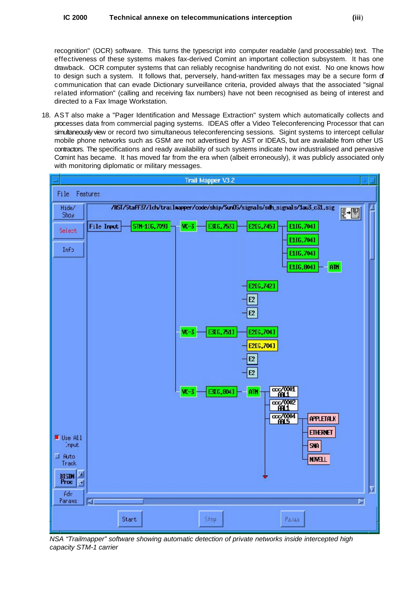recognition" (OCR) software. This turns the typescript into computer readable (and processable) text. The effectiveness of these systems makes fax-derived Comint an important collection subsystem. It has one drawback. OCR computer systems that can reliably recognise handwriting do not exist. No one knows how to design such a system. It follows that, perversely, hand-written fax messages may be a secure form of communication that can evade Dictionary surveillance criteria, provided always that the associated "signal related information" (calling and receiving fax numbers) have not been recognised as being of interest and directed to a Fax Image Workstation.

18. AST also make a "Pager Identification and Message Extraction" system which automatically collects and processes data from commercial paging systems. IDEAS offer a Video Teleconferencing Processor that can simultaneously view or record two simultaneous teleconferencing sessions. Sigint systems to intercept cellular mobile phone networks such as GSM are not advertised by AST or IDEAS, but are available from other US contractors. The specifications and ready availability of such systems indicate how industrialised and pervasive Comint has became. It has moved far from the era when (albeit erroneously), it was publicly associated only with monitoring diplomatic or military messages.



*NSA "Trailmapper" software showing automatic detection of private networks inside intercepted high capacity STM-1 carrier*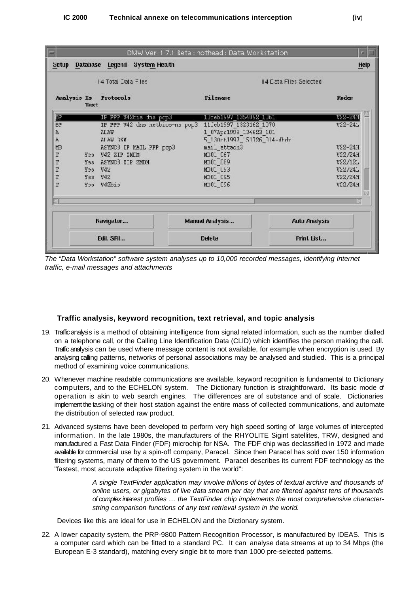

*The "Data Workstation" software system analyses up to 10,000 recorded messages, identifying Internet traffic, e-mail messages and attachments*

#### **Traffic analysis, keyword recognition, text retrieval, and topic analysis**

- 19. Traffic analysis is a method of obtaining intelligence from signal related information, such as the number dialled on a telephone call, or the Calling Line Identification Data (CLID) which identifies the person making the call. Traffic analysis can be used where message content is not available, for example when encryption is used. By analysing calling patterns, networks of personal associations may be analysed and studied. This is a principal method of examining voice communications.
- 20. Whenever machine readable communications are available, keyword recognition is fundamental to Dictionary computers, and to the ECHELON system. The Dictionary function is straightforward. Its basic mode of operation is akin to web search engines. The differences are of substance and of scale. Dictionaries implement the tasking of their host station against the entire mass of collected communications, and automate the distribution of selected raw product.
- 21. Advanced systems have been developed to perform very high speed sorting of large volumes of intercepted information. In the late 1980s, the manufacturers of the RHYOLITE Sigint satellites, TRW, designed and manufactured a Fast Data Finder (FDF) microchip for NSA. The FDF chip was declassified in 1972 and made available for commercial use by a spin-off company, Paracel. Since then Paracel has sold over 150 information filtering systems, many of them to the US government. Paracel describes its current FDF technology as the "fastest, most accurate adaptive filtering system in the world":

*A single TextFinder application may involve trillions of bytes of textual archive and thousands of online users, or gigabytes of live data stream per day that are filtered against tens of thousands of complex interest profiles … the TextFinder chip implements the most comprehensive characterstring comparison functions of any text retrieval system in the world.*

Devices like this are ideal for use in ECHELON and the Dictionary system.

22. A lower capacity system, the PRP-9800 Pattern Recognition Processor, is manufactured by IDEAS. This is a computer card which can be fitted to a standard PC. It can analyse data streams at up to 34 Mbps (the European E-3 standard), matching every single bit to more than 1000 pre-selected patterns.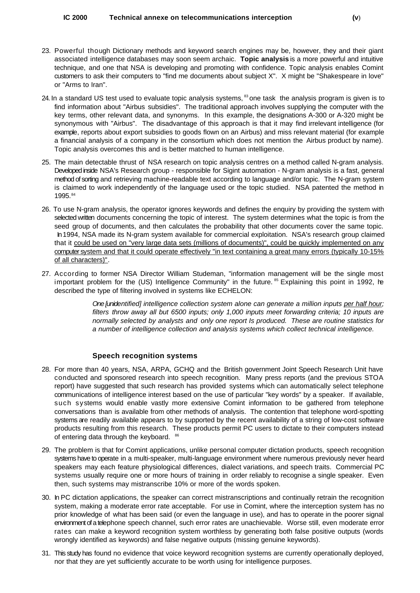- 23. Powerful though Dictionary methods and keyword search engines may be, however, they and their giant associated intelligence databases may soon seem archaic. **Topic analysis** is a more powerful and intuitive technique, and one that NSA is developing and promoting with confidence. Topic analysis enables Comint customers to ask their computers to "find me documents about subject X". X might be "Shakespeare in love" or "Arms to Iran".
- 24. In a standard US test used to evaluate topic analysis systems,  $^{83}$  one task the analysis program is given is to find information about "Airbus subsidies". The traditional approach involves supplying the computer with the key terms, other relevant data, and synonyms. In this example, the designations A-300 or A-320 might be synonymous with "Airbus". The disadvantage of this approach is that it may find irrelevant intelligence (for example, reports about export subsidies to goods flown on an Airbus) and miss relevant material (for example a financial analysis of a company in the consortium which does not mention the Airbus product by name). Topic analysis overcomes this and is better matched to human intelligence.
- 25. The main detectable thrust of NSA research on topic analysis centres on a method called N-gram analysis. Developed inside NSA's Research group - responsible for Sigint automation - N-gram analysis is a fast, general method of sorting and retrieving machine-readable text according to language and/or topic. The N-gram system is claimed to work independently of the language used or the topic studied. NSA patented the method in 1995.84
- 26. To use N-gram analysis, the operator ignores keywords and defines the enquiry by providing the system with selected written documents concerning the topic of interest. The system determines what the topic is from the seed group of documents, and then calculates the probability that other documents cover the same topic. In 1994, NSA made its N-gram system available for commercial exploitation. NSA's research group claimed that it could be used on "very large data sets (millions of documents)", could be quickly implemented on any computer system and that it could operate effectively "in text containing a great many errors (typically 10-15% of all characters)".
- 27. According to former NSA Director William Studeman, "information management will be the single most important problem for the (US) Intelligence Community" in the future. <sup>85</sup> Explaining this point in 1992, he described the type of filtering involved in systems like ECHELON:

*One [unidentified] intelligence collection system alone can generate a million inputs per half hour; filters throw away all but 6500 inputs; only 1,000 inputs meet forwarding criteria; 10 inputs are normally selected by analysts and only one report Is produced. These are routine statistics for a number of intelligence collection and analysis systems which collect technical intelligence.*

#### **Speech recognition systems**

- 28. For more than 40 years, NSA, ARPA, GCHQ and the British government Joint Speech Research Unit have conducted and sponsored research into speech recognition. Many press reports (and the previous STOA report) have suggested that such research has provided systems which can automatically select telephone communications of intelligence interest based on the use of particular "key words" by a speaker. If available, such systems would enable vastly more extensive Comint information to be gathered from telephone conversations than is available from other methods of analysis. The contention that telephone word-spotting systems are readily available appears to by supported by the recent availability of a string of low-cost software products resulting from this research. These products permit PC users to dictate to their computers instead of entering data through the keyboard. 86
- 29. The problem is that for Comint applications, unlike personal computer dictation products, speech recognition systems have to operate in a multi-speaker, multi-language environment where numerous previously never heard speakers may each feature physiological differences, dialect variations, and speech traits. Commercial PC systems usually require one or more hours of training in order reliably to recognise a single speaker. Even then, such systems may mistranscribe 10% or more of the words spoken.
- 30. In PC dictation applications, the speaker can correct mistranscriptions and continually retrain the recognition system, making a moderate error rate acceptable. For use in Comint, where the interception system has no prior knowledge of what has been said (or even the language in use), and has to operate in the poorer signal environment of a telephone speech channel, such error rates are unachievable. Worse still, even moderate error rates can make a keyword recognition system worthless by generating both false positive outputs (words wrongly identified as keywords) and false negative outputs (missing genuine keywords).
- 31. This study has found no evidence that voice keyword recognition systems are currently operationally deployed, nor that they are yet sufficiently accurate to be worth using for intelligence purposes.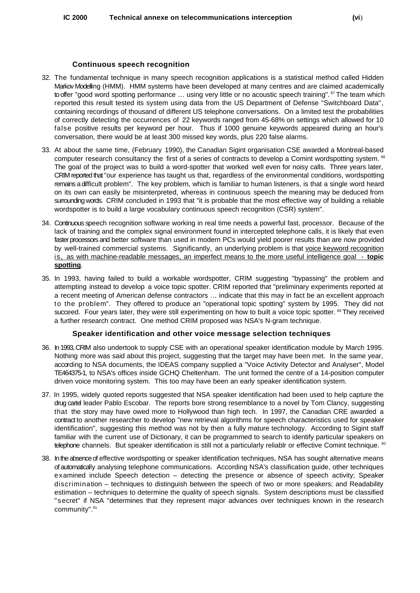#### **Continuous speech recognition**

- 32. The fundamental technique in many speech recognition applications is a statistical method called Hidden Markov Modelling (HMM). HMM systems have been developed at many centres and are claimed academically to offer "good word spotting performance ... using very little or no acoustic speech training". <sup>87</sup> The team which reported this result tested its system using data from the US Department of Defense "Switchboard Data", containing recordings of thousand of different US telephone conversations. On a limited test the probabilities of correctly detecting the occurrences of 22 keywords ranged from 45-68% on settings which allowed for 10 false positive results per keyword per hour. Thus if 1000 genuine keywords appeared during an hour's conversation, there would be at least 300 missed key words, plus 220 false alarms.
- 33. At about the same time, (February 1990), the Canadian Sigint organisation CSE awarded a Montreal-based computer research consultancy the first of a series of contracts to develop a Comint wordspotting system. <sup>88</sup> The goal of the project was to build a word-spotter that worked well even for noisy calls. Three years later, CRIM reported that "our experience has taught us that, regardless of the environmental conditions, wordspotting remains a difficult problem". The key problem, which is familiar to human listeners, is that a single word heard on its own can easily be misinterpreted, whereas in continuous speech the meaning may be deduced from surrounding words. CRIM concluded in 1993 that "it is probable that the most effective way of building a reliable wordspotter is to build a large vocabulary continuous speech recognition (CSR) system".
- 34. Continuous speech recognition software working in real time needs a powerful fast, processor. Because of the lack of training and the complex signal environment found in intercepted telephone calls, it is likely that even faster processors and better software than used in modern PCs would yield poorer results than are now provided by well-trained commercial systems. Significantly, an underlying problem is that voice keyword recognition is, as with machine-readable messages, an imperfect means to the more useful intelligence goal - **topic spotting**.
- 35. In 1993, having failed to build a workable wordspotter, CRIM suggesting "bypassing" the problem and attempting instead to develop a voice topic spotter. CRIM reported that "preliminary experiments reported at a recent meeting of American defense contractors … indicate that this may in fact be an excellent approach to the problem". They offered to produce an "operational topic spotting" system by 1995. They did not succeed. Four years later, they were still experimenting on how to built a voice topic spotter. <sup>89</sup> They received a further research contract. One method CRIM proposed was NSA's N-gram technique.

#### **Speaker identification and other voice message selection techniques**

- 36. In 1993, CRIM also undertook to supply CSE with an operational speaker identification module by March 1995. Nothing more was said about this project, suggesting that the target may have been met. In the same year, according to NSA documents, the IDEAS company supplied a "Voice Activity Detector and Analyser", Model TE464375-1, to NSA's offices inside GCHQ Cheltenham. The unit formed the centre of a 14-position computer driven voice monitoring system. This too may have been an early speaker identification system.
- 37. In 1995, widely quoted reports suggested that NSA speaker identification had been used to help capture the drug cartel leader Pablo Escobar. The reports bore strong resemblance to a novel by Tom Clancy, suggesting that the story may have owed more to Hollywood than high tech. In 1997, the Canadian CRE awarded a contract to another researcher to develop "new retrieval algorithms for speech characteristics used for speaker identification", suggesting this method was not by then a fully mature technology. According to Sigint staff familiar with the current use of Dictionary, it can be programmed to search to identify particular speakers on telephone channels. But speaker identification is still not a particularly reliablr or effective Comint technique. <sup>90</sup>
- 38. In the absence of effective wordspotting or speaker identification techniques, NSA has sought alternative means of automatically analysing telephone communications. According NSA's classification guide, other techniques examined include Speech detection – detecting the presence or absence of speech activity; Speaker discrimination – techniques to distinguish between the speech of two or more speakers; and Readability estimation – techniques to determine the quality of speech signals. System descriptions must be classified "secret" if NSA "determines that they represent major advances over techniques known in the research community". 91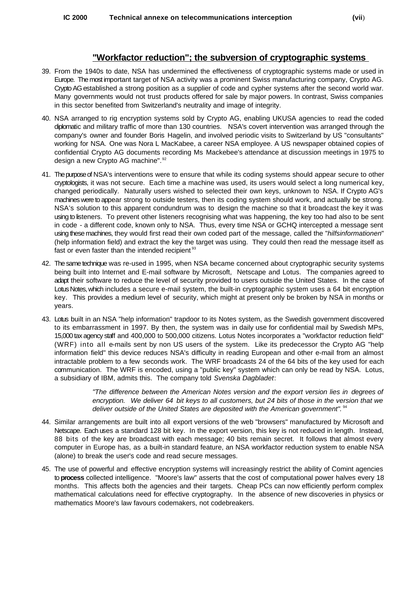#### **"Workfactor reduction"; the subversion of cryptographic systems**

- 39. From the 1940s to date, NSA has undermined the effectiveness of cryptographic systems made or used in Europe. The most important target of NSA activity was a prominent Swiss manufacturing company, Crypto AG. Crypto AG established a strong position as a supplier of code and cypher systems after the second world war. Many governments would not trust products offered for sale by major powers. In contrast, Swiss companies in this sector benefited from Switzerland's neutrality and image of integrity.
- 40. NSA arranged to rig encryption systems sold by Crypto AG, enabling UKUSA agencies to read the coded diplomatic and military traffic of more than 130 countries. NSA's covert intervention was arranged through the company's owner and founder Boris Hagelin, and involved periodic visits to Switzerland by US "consultants" working for NSA. One was Nora L MacKabee, a career NSA employee. A US newspaper obtained copies of confidential Crypto AG documents recording Ms Mackebee's attendance at discussion meetings in 1975 to design a new Crypto AG machine". 92
- 41. The purpose of NSA's interventions were to ensure that while its coding systems should appear secure to other cryptologists, it was not secure. Each time a machine was used, its users would select a long numerical key, changed periodically. Naturally users wished to selected their own keys, unknown to NSA. If Crypto AG's machines were to appear strong to outside testers, then its coding system should work, and actually be strong. NSA's solution to this apparent condundrum was to design the machine so that it broadcast the key it was using to listeners. To prevent other listeners recognising what was happening, the key too had also to be sent in code - a different code, known only to NSA. Thus, every time NSA or GCHQ intercepted a message sent using these machines, they would first read their own coded part of the message, called the "*hilfsinformationen*" (help information field) and extract the key the target was using. They could then read the message itself as fast or even faster than the intended recipient<sup>93</sup>
- 42. The same technique was re-used in 1995, when NSA became concerned about cryptographic security systems being built into Internet and E-mail software by Microsoft, Netscape and Lotus. The companies agreed to adapt their software to reduce the level of security provided to users outside the United States. In the case of Lotus Notes, which includes a secure e-mail system, the built-in cryptographic system uses a 64 bit encryption key. This provides a medium level of security, which might at present only be broken by NSA in months or years.
- 43. Lotus built in an NSA "help information" trapdoor to its Notes system, as the Swedish government discovered to its embarrassment in 1997. By then, the system was in daily use for confidential mail by Swedish MPs, 15,000 tax agency staff and 400,000 to 500,000 citizens. Lotus Notes incorporates a "workfactor reduction field" (WRF) into all e-mails sent by non US users of the system. Like its predecessor the Crypto AG "help information field" this device reduces NSA's difficulty in reading European and other e-mail from an almost intractable problem to a few seconds work. The WRF broadcasts 24 of the 64 bits of the key used for each communication. The WRF is encoded, using a "public key" system which can only be read by NSA. Lotus, a subsidiary of IBM, admits this. The company told *Svenska Dagbladet*:

*"The difference between the American Notes version and the export version lies in degrees of encryption. We deliver 64 bit keys to all customers, but 24 bits of those in the version that we deliver outside of the United States are deposited with the American government".* <sup>94</sup>

- 44. Similar arrangements are built into all export versions of the web "browsers" manufactured by Microsoft and Netscape. Each uses a standard 128 bit key. In the export version, this key is not reduced in length. Instead, 88 bits of the key are broadcast with each message; 40 bits remain secret. It follows that almost every computer in Europe has, as a built-in standard feature, an NSA workfactor reduction system to enable NSA (alone) to break the user's code and read secure messages.
- 45. The use of powerful and effective encryption systems will increasingly restrict the ability of Comint agencies to **process** collected intelligence. "Moore's law" asserts that the cost of computational power halves every 18 months. This affects both the agencies and their targets. Cheap PCs can now efficiently perform complex mathematical calculations need for effective cryptography. In the absence of new discoveries in physics or mathematics Moore's law favours codemakers, not codebreakers.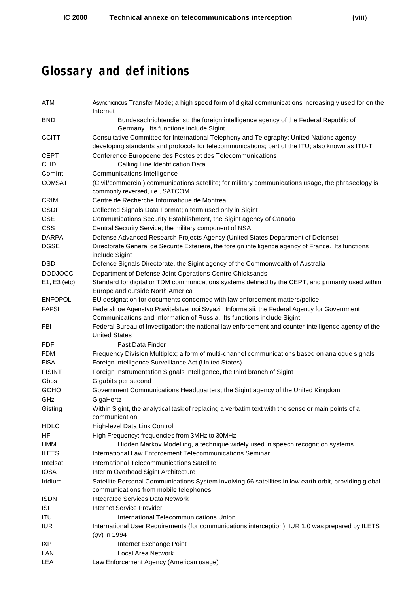## **Glossary and definitions**

| ATM            | Asynchronous Transfer Mode; a high speed form of digital communications increasingly used for on the<br>Internet                                                                            |
|----------------|---------------------------------------------------------------------------------------------------------------------------------------------------------------------------------------------|
| <b>BND</b>     | Bundesachrichtendienst; the foreign intelligence agency of the Federal Republic of<br>Germany. Its functions include Sigint                                                                 |
| <b>CCITT</b>   | Consultative Committee for International Telephony and Telegraphy; United Nations agency<br>developing standards and protocols for telecommunications; part of the ITU; also known as ITU-T |
| <b>CEPT</b>    | Conference Europeene des Postes et des Telecommunications                                                                                                                                   |
| <b>CLID</b>    | Calling Line Identification Data                                                                                                                                                            |
| Comint         | Communications Intelligence                                                                                                                                                                 |
| <b>COMSAT</b>  | (Civil/commercial) communications satellite; for military communications usage, the phraseology is<br>commonly reversed, i.e., SATCOM.                                                      |
| <b>CRIM</b>    | Centre de Recherche Informatique de Montreal                                                                                                                                                |
| <b>CSDF</b>    | Collected Signals Data Format; a term used only in Sigint                                                                                                                                   |
| <b>CSE</b>     | Communications Security Establishment, the Sigint agency of Canada                                                                                                                          |
| <b>CSS</b>     | Central Security Service; the military component of NSA                                                                                                                                     |
| <b>DARPA</b>   | Defense Advanced Research Projects Agency (United States Department of Defense)                                                                                                             |
| <b>DGSE</b>    | Directorate General de Securite Exteriere, the foreign intelligence agency of France. Its functions<br>include Sigint                                                                       |
| <b>DSD</b>     | Defence Signals Directorate, the Sigint agency of the Commonwealth of Australia                                                                                                             |
| <b>DODJOCC</b> | Department of Defense Joint Operations Centre Chicksands                                                                                                                                    |
| E1, E3 (etc)   | Standard for digital or TDM communications systems defined by the CEPT, and primarily used within<br>Europe and outside North America                                                       |
| <b>ENFOPOL</b> | EU designation for documents concerned with law enforcement matters/police                                                                                                                  |
| <b>FAPSI</b>   | Federalnoe Agenstvo Pravitelstvennoi Svyazi i Informatsii, the Federal Agency for Government<br>Communications and Information of Russia. Its functions include Sigint                      |
| FBI            | Federal Bureau of Investigation; the national law enforcement and counter-intelligence agency of the<br><b>United States</b>                                                                |
| <b>FDF</b>     | <b>Fast Data Finder</b>                                                                                                                                                                     |
| <b>FDM</b>     | Frequency Division Multiplex; a form of multi-channel communications based on analogue signals                                                                                              |
| <b>FISA</b>    | Foreign Intelligence Surveillance Act (United States)                                                                                                                                       |
| <b>FISINT</b>  | Foreign Instrumentation Signals Intelligence, the third branch of Sigint                                                                                                                    |
| Gbps           | Gigabits per second                                                                                                                                                                         |
| <b>GCHQ</b>    | Government Communications Headquarters; the Sigint agency of the United Kingdom                                                                                                             |
| GHz            | GigaHertz                                                                                                                                                                                   |
| Gisting        | Within Sigint, the analytical task of replacing a verbatim text with the sense or main points of a<br>communication                                                                         |
| <b>HDLC</b>    | High-level Data Link Control                                                                                                                                                                |
| HF             | High Frequency; frequencies from 3MHz to 30MHz                                                                                                                                              |
| <b>HMM</b>     | Hidden Markov Modelling, a technique widely used in speech recognition systems.                                                                                                             |
| <b>ILETS</b>   | International Law Enforcement Telecommunications Seminar                                                                                                                                    |
| Intelsat       | International Telecommunications Satellite                                                                                                                                                  |
| <b>IOSA</b>    | Interim Overhead Sigint Architecture                                                                                                                                                        |
| Iridium        | Satellite Personal Communications System involving 66 satellites in low earth orbit, providing global<br>communications from mobile telephones                                              |
| <b>ISDN</b>    | Integrated Services Data Network                                                                                                                                                            |
| <b>ISP</b>     | Internet Service Provider                                                                                                                                                                   |
| <b>ITU</b>     | International Telecommunications Union                                                                                                                                                      |
| <b>IUR</b>     | International User Requirements (for communications interception); IUR 1.0 was prepared by ILETS                                                                                            |
|                | $(qv)$ in 1994                                                                                                                                                                              |
| IXP            | Internet Exchange Point                                                                                                                                                                     |
| LAN            | <b>Local Area Network</b>                                                                                                                                                                   |
| <b>LEA</b>     | Law Enforcement Agency (American usage)                                                                                                                                                     |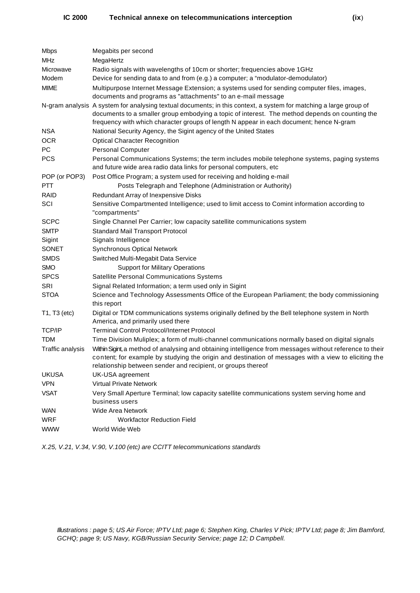| <b>Mbps</b>      | Megabits per second                                                                                                                                                                                                                                                                                            |
|------------------|----------------------------------------------------------------------------------------------------------------------------------------------------------------------------------------------------------------------------------------------------------------------------------------------------------------|
| <b>MHz</b>       | MegaHertz                                                                                                                                                                                                                                                                                                      |
| Microwave        | Radio signals with wavelengths of 10cm or shorter; frequencies above 1GHz                                                                                                                                                                                                                                      |
| Modem            | Device for sending data to and from (e.g.) a computer; a "modulator-demodulator)                                                                                                                                                                                                                               |
| <b>MIME</b>      | Multipurpose Internet Message Extension; a systems used for sending computer files, images,<br>documents and programs as "attachments" to an e-mail message                                                                                                                                                    |
|                  | N-gram analysis A system for analysing textual documents; in this context, a system for matching a large group of<br>documents to a smaller group embodying a topic of interest. The method depends on counting the<br>frequency with which character groups of length N appear in each document; hence N-gram |
| <b>NSA</b>       | National Security Agency, the Sigint agency of the United States                                                                                                                                                                                                                                               |
| <b>OCR</b>       | <b>Optical Character Recognition</b>                                                                                                                                                                                                                                                                           |
| PC.              | <b>Personal Computer</b>                                                                                                                                                                                                                                                                                       |
| <b>PCS</b>       | Personal Communications Systems; the term includes mobile telephone systems, paging systems<br>and future wide area radio data links for personal computers, etc                                                                                                                                               |
| POP (or POP3)    | Post Office Program; a system used for receiving and holding e-mail                                                                                                                                                                                                                                            |
| <b>PTT</b>       | Posts Telegraph and Telephone (Administration or Authority)                                                                                                                                                                                                                                                    |
| <b>RAID</b>      | Redundant Array of Inexpensive Disks                                                                                                                                                                                                                                                                           |
| SCI              | Sensitive Compartmented Intelligence; used to limit access to Comint information according to<br>"compartments"                                                                                                                                                                                                |
| <b>SCPC</b>      | Single Channel Per Carrier; low capacity satellite communications system                                                                                                                                                                                                                                       |
| <b>SMTP</b>      | Standard Mail Transport Protocol                                                                                                                                                                                                                                                                               |
| Sigint           | Signals Intelligence                                                                                                                                                                                                                                                                                           |
| <b>SONET</b>     | <b>Synchronous Optical Network</b>                                                                                                                                                                                                                                                                             |
| <b>SMDS</b>      | Switched Multi-Megabit Data Service                                                                                                                                                                                                                                                                            |
| <b>SMO</b>       | <b>Support for Military Operations</b>                                                                                                                                                                                                                                                                         |
| <b>SPCS</b>      | Satellite Personal Communications Systems                                                                                                                                                                                                                                                                      |
| SRI              | Signal Related Information; a term used only in Sigint                                                                                                                                                                                                                                                         |
| <b>STOA</b>      | Science and Technology Assessments Office of the European Parliament; the body commissioning<br>this report                                                                                                                                                                                                    |
| T1, T3 (etc)     | Digital or TDM communications systems originally defined by the Bell telephone system in North<br>America, and primarily used there                                                                                                                                                                            |
| <b>TCP/IP</b>    | <b>Terminal Control Protocol/Internet Protocol</b>                                                                                                                                                                                                                                                             |
| <b>TDM</b>       | Time Division Muliplex; a form of multi-channel communications normally based on digital signals                                                                                                                                                                                                               |
| Traffic analysis | Within Sigint, a method of analysing and obtaining intelligence from messages without reference to their<br>content; for example by studying the origin and destination of messages with a view to eliciting the<br>relationship between sender and recipient, or groups thereof                               |
| <b>UKUSA</b>     | UK-USA agreement                                                                                                                                                                                                                                                                                               |
| <b>VPN</b>       | <b>Virtual Private Network</b>                                                                                                                                                                                                                                                                                 |
| <b>VSAT</b>      | Very Small Aperture Terminal; low capacity satellite communications system serving home and<br>business users                                                                                                                                                                                                  |
| <b>WAN</b>       | Wide Area Network                                                                                                                                                                                                                                                                                              |

WRF Workfactor Reduction Field

WWW World Wide Web

*X.25, V.21, V.34, V.90, V.100 (etc) are CCITT telecommunications standards*

*Illustrations : page 5; US Air Force; IPTV Ltd; page 6; Stephen King, Charles V Pick; IPTV Ltd; page 8; Jim Bamford, GCHQ; page 9; US Navy, KGB/Russian Security Service; page 12; D Campbell.*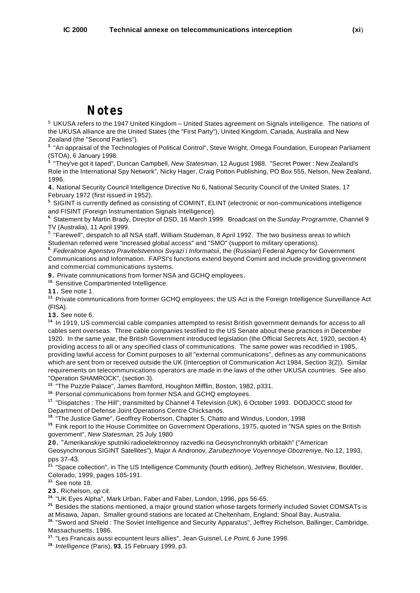### **Notes**

 UKUSA refers to the 1947 United Kingdom – United States agreement on Signals intelligence. The nations of **1.** the UKUSA alliance are the United States (the "First Party"), United Kingdom, Canada, Australia and New Zealand (the "Second Parties").

<sup>2.</sup> "An appraisal of the Technologies of Political Control", Steve Wright, Omega Foundation, European Parliament (STOA), 6 January 1998.

<sup>3.</sup> "They've got it taped", Duncan Campbell, *New Statesman*, 12 August 1988. "Secret Power : New Zealand's Role in the International Spy Network", Nicky Hager, Craig Potton Publishing, PO Box 555, Nelson, New Zealand, 1996.

**4.** National Security Council Intelligence Directive No 6, National Security Council of the United States, 17 February 1972 (first issued in 1952).

 SIGINT is currently defined as consisting of COMINT, ELINT (electronic or non-communications intelligence **5.** and FISINT (Foreign Instrumentation Signals Intelligence).

 Statement by Martin Brady, Director of DSD, 16 March 1999. Broadcast on the *Sunday Programme*, Channel 9 **6.** TV (Australia), 11 April 1999.

<sup>7.</sup> "Farewell", despatch to all NSA staff, William Studeman, 8 April 1992. The two business areas to which Studeman referred were "increased global access" and "SMO" (support to military operations).

*Federalnoe Agenstvo Pravitelstvennoi Svyazi i Informatsii*, the (Russian) Federal Agency for Government **8.** Communications and Information. FAPSI's functions extend beyond Comint and include providing government and commercial communications systems.

**9.** Private communications from former NSA and GCHQ employees.

<sup>10.</sup> Sensitive Compartmented Intelligence.

**11.** See note 1.

<sup>12.</sup> Private communications from former GCHQ employees; the US Act is the Foreign Intelligence Surveillance Act (FISA).

**13.** See note 6.

<sup>14.</sup> In 1919, US commercial cable companies attempted to resist British government demands for access to all cables sent overseas. Three cable companies testified to the US Senate about these practices in December 1920. In the same year, the British Government introduced legislation (the Official Secrets Act, 1920, section 4) providing access to all or any specified class of communications. The same power was recodified in 1985, providing lawful access for Comint purposes to all "external communications", defines as any communications which are sent from or received outside the UK (Interception of Communication Act 1984, Section 3(2)). Similar requirements on telecommunications operators are made in the laws of the other UKUSA countries. See also "Operation SHAMROCK", (section 3).

<sup>15.</sup> "The Puzzle Palace", James Bamford, Houghton Mifflin, Boston, 1982, p331.

<sup>16.</sup> Personal communications from former NSA and GCHQ employees.

<sup>17.</sup> "Dispatches : The Hill", transmitted by Channel 4 Television (UK), 6 October 1993. DODJOCC stood for Department of Defense Joint Operations Centre Chicksands.

<sup>18.</sup> "The Justice Game", Geoffrey Robertson, Chapter 5, Chatto and Windus, London, 1998

<sup>19.</sup> Fink report to the House Committee on Government Operations, 1975, quoted in "NSA spies on the British government", *New Statesman,* 25 July 1980

**20.** "Amerikanskiye sputniki radioelektronnoy razvedki na Geosynchronnykh orbitakh" ("American Geosynchronous SIGINT Satellites"), Major A Andronov, *Zarubezhnoye Voyennoye Obozreniye,* No.12, 1993, pps 37-43.

<sup>21.</sup> "Space collection", in The US Intelligence Community (fourth edition), Jeffrey Richelson, Westview, Boulder, Colorado, 1999, pages 185-191.

See note 18. **22.**

**23.** Richelson, *op cit.*

<sup>24.</sup> "UK Eyes Alpha", Mark Urban, Faber and Faber, London, 1996, pps 56-65.

<sup>25.</sup> Besides the stations mentioned, a major ground station whose targets formerly included Soviet COMSATs is at Misawa, Japan. Smaller ground stations are located at Cheltenham, England; Shoal Bay, Australia.

<sup>26.</sup> "Sword and Shield : The Soviet Intelligence and Security Apparatus", Jeffrey Richelson, Ballinger, Cambridge, Massachusetts, 1986.

<sup>27.</sup> "Les Francais aussi ecountent leurs allies", Jean Guisnel, Le Point, 6 June 1998.

*Intelligence* (Paris), **93**, 15 February 1999, p3. **28.**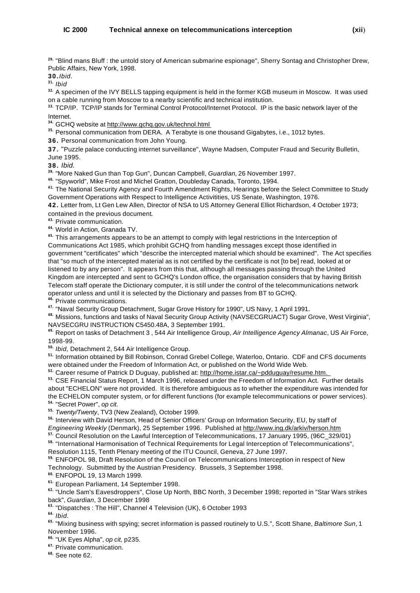<sup>29.</sup> "Blind mans Bluff : the untold story of American submarine espionage", Sherry Sontag and Christopher Drew, Public Affairs, New York, 1998.

**30.***Ibid.*

*Ibid* **31.**

<sup>32.</sup> A specimen of the IVY BELLS tapping equipment is held in the former KGB museum in Moscow. It was used on a cable running from Moscow to a nearby scientific and technical institution.

33. TCP/IP. TCP/IP stands for Terminal Control Protocol/Internet Protocol. IP is the basic network layer of the Internet.

<sup>34.</sup> GCHQ website at http://www.gchq.gov.uk/technol.html

<sup>35.</sup> Personal communication from DERA. A Terabyte is one thousand Gigabytes, i.e., 1012 bytes.

**36.** Personal communication from John Young.

**37.** "Puzzle palace conducting internet surveillance", Wayne Madsen, Computer Fraud and Security Bulletin, June 1995.

**38.** *Ibid.* 

<sup>39.</sup> "More Naked Gun than Top Gun", Duncan Campbell, *Guardian,* 26 November 1997.

<sup>40.</sup> "Spyworld", Mike Frost and Michel Gratton, Doubleday Canada, Toronto, 1994.

 The National Security Agency and Fourth Amendment Rights, Hearings before the Select Committee to Study **41.** Government Operations with Respect to Intelligence Activitities, US Senate, Washington, 1976.

**42.** Letter from, Lt Gen Lew Allen, Director of NSA to US Attorney General Elliot Richardson, 4 October 1973; contained in the previous document.

Private communication. **43.**

World in Action, Granada TV. **44.**

 This arrangements appears to be an attempt to comply with legal restrictions in the Interception of **45.** Communications Act 1985, which prohibit GCHQ from handling messages except those identified in government "certificates" which "describe the intercepted material which should be examined". The Act specifies that "so much of the intercepted material as is not certified by the certificate is not [to be] read, looked at or listened to by any person". It appears from this that, although all messages passing through the United Kingdom are intercepted and sent to GCHQ's London office, the organisation considers that by having British Telecom staff operate the Dictionary computer, it is still under the control of the telecommunications network operator unless and until it is selected by the Dictionary and passes from BT to GCHQ.

**Private communications.** 

<sup>47.</sup> "Naval Security Group Detachment, Sugar Grove History for 1990", US Navy, 1 April 1991.

 Missions, functions and tasks of Naval Security Group Activity (NAVSECGRUACT) Sugar Grove, West Virginia", **48.** NAVSECGRU INSTRUCTION C5450.48A, 3 September 1991.

 Report on tasks of Detachment 3 , 544 Air Intelligence Group, *Air Intelligence Agency Almanac*, US Air Force, **49.** 1998-99.

*Ibid,* Detachment 2, 544 Air Intelligence Group. **50.**

<sup>51.</sup> Information obtained by Bill Robinson, Conrad Grebel College, Waterloo, Ontario. CDF and CFS documents were obtained under the Freedom of Information Act, or published on the World Wide Web.

Career resume of Patrick D Duguay, published at: http://home.istar.ca/~pdduguay/resume.htm. **52.**

 CSE Financial Status Report, 1 March 1996, released under the Freedom of Information Act. Further details **53.** about "ECHELON" were not provided. It is therefore ambiguous as to whether the expenditure was intended for the ECHELON computer system, or for different functions (for example telecommunications or power services). "Secret Power", *op cit.* **54.**

*Twenty/Twenty*, TV3 (New Zealand), October 1999. **55.**

<sup>56.</sup> Interview with David Herson, Head of Senior Officers' Group on Information Security, EU, by staff of *Engineering Weekly* (Denmark), 25 September 1996. Published at http://www.ing.dk/arkiv/herson.htm

<sup>57</sup> Council Resolution on the Lawful Interception of Telecommunications, 17 January 1995, (96C 329/01)

 "International Harmonisation of Technical Requirements for Legal Interception of Telecommunications", **58.** Resolution 1115, Tenth Plenary meeting of the ITU Council, Geneva, 27 June 1997.

 ENFOPOL 98, Draft Resolution of the Council on Telecommunications Interception in respect of New **59.** Technology. Submitted by the Austrian Presidency. Brussels, 3 September 1998.

ENFOPOL 19, 13 March 1999. **60.**

European Parliament, 14 September 1998. **61.**

<sup>62.</sup> "Uncle Sam's Eavesdroppers", Close Up North, BBC North, 3 December 1998; reported in "Star Wars strikes back", *Guardian*, 3 December 1998

<sup>63.</sup> "Dispatches : The Hill", Channel 4 Television (UK), 6 October 1993

*Ibid.* **64.**

<sup>65.</sup> "Mixing business with spying; secret information is passed routinely to U.S.", Scott Shane, *Baltimore Sun*, 1 November 1996.

"UK Eyes Alpha", *op cit,* p235*.* **66.**

Private communication. **67.**

See note 62. **68.**